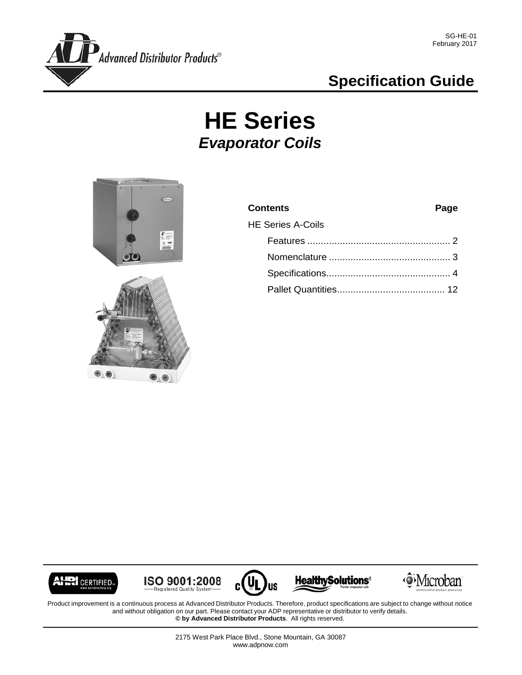

## **Specification Guide**

# **HE Series** *Evaporator Coils*





| <b>Contents</b>          | Page |
|--------------------------|------|
| <b>HE Series A-Coils</b> |      |
|                          |      |
|                          |      |
|                          |      |
|                          |      |
|                          |      |



 $\underbrace{\mathsf{ISO}}_{\mathsf{Registered\,} \mathsf{Quality\,} \mathsf{System}}$ 



**Healthy Solutions®** 



Product improvement is a continuous process at Advanced Distributor Products. Therefore, product specifications are subject to change without notice and without obligation on our part. Please contact your ADP representative or distributor to verify details. **© by Advanced Distributor Products**. All rights reserved.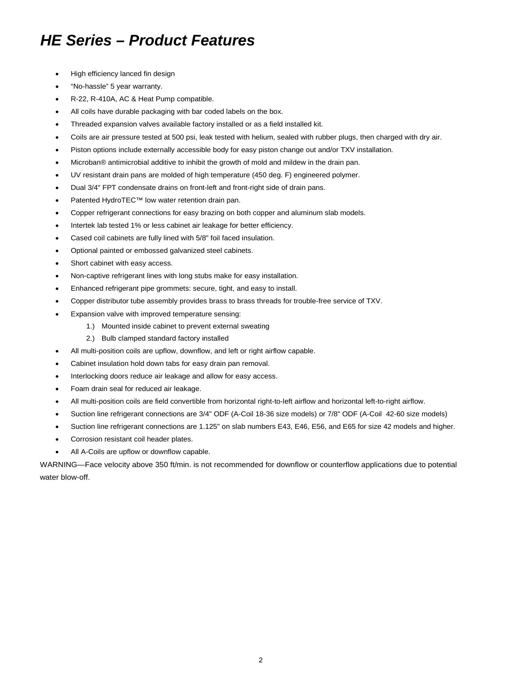## *HE Series – Product Features*

- High efficiency lanced fin design
- "No-hassle" 5 year warranty.
- R-22, R-410A, AC & Heat Pump compatible.
- All coils have durable packaging with bar coded labels on the box.
- Threaded expansion valves available factory installed or as a field installed kit.
- Coils are air pressure tested at 500 psi, leak tested with helium, sealed with rubber plugs, then charged with dry air.
- Piston options include externally accessible body for easy piston change out and/or TXV installation.
- Microban<sup>®</sup> antimicrobial additive to inhibit the growth of mold and mildew in the drain pan.
- UV resistant drain pans are molded of high temperature (450 deg. F) engineered polymer.
- Dual 3/4" FPT condensate drains on front-left and front-right side of drain pans.
- Patented HydroTEC™ low water retention drain pan.
- Copper refrigerant connections for easy brazing on both copper and aluminum slab models.
- Intertek lab tested 1% or less cabinet air leakage for better efficiency.
- Cased coil cabinets are fully lined with 5/8" foil faced insulation.
- Optional painted or embossed galvanized steel cabinets.
- Short cabinet with easy access.
- Non-captive refrigerant lines with long stubs make for easy installation.
- Enhanced refrigerant pipe grommets: secure, tight, and easy to install.
- Copper distributor tube assembly provides brass to brass threads for trouble-free service of TXV.
- Expansion valve with improved temperature sensing:
	- 1.) Mounted inside cabinet to prevent external sweating
	- 2.) Bulb clamped standard factory installed
- All multi-position coils are upflow, downflow, and left or right airflow capable.
- Cabinet insulation hold down tabs for easy drain pan removal.
- Interlocking doors reduce air leakage and allow for easy access.
- Foam drain seal for reduced air leakage.
- All multi-position coils are field convertible from horizontal right-to-left airflow and horizontal left-to-right airflow.
- Suction line refrigerant connections are 3/4" ODF (A-Coil 18-36 size models) or 7/8" ODF (A-Coil 42-60 size models)
- Suction line refrigerant connections are 1.125" on slab numbers E43, E46, E56, and E65 for size 42 models and higher.
- Corrosion resistant coil header plates.
- All A-Coils are upflow or downflow capable.

WARNING—Face velocity above 350 ft/min. is not recommended for downflow or counterflow applications due to potential water blow-off.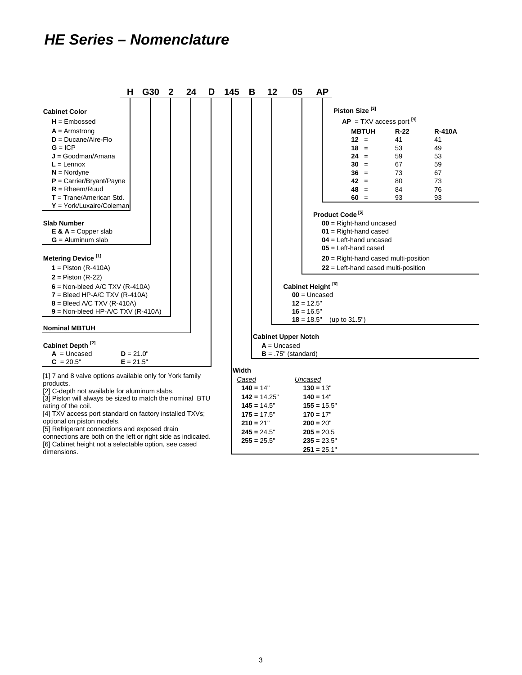### *HE Series – Nomenclature*

dimensions.

|                                                                                                                       | н           | G30 | 2 | 24 | D | 145   | в              | 12 | 05                         |                               | <b>AP</b>                                           |
|-----------------------------------------------------------------------------------------------------------------------|-------------|-----|---|----|---|-------|----------------|----|----------------------------|-------------------------------|-----------------------------------------------------|
| <b>Cabinet Color</b>                                                                                                  |             |     |   |    |   |       |                |    |                            |                               | Piston Size <sup>[3]</sup>                          |
|                                                                                                                       |             |     |   |    |   |       |                |    |                            |                               |                                                     |
| $H =$ Embossed                                                                                                        |             |     |   |    |   |       |                |    |                            |                               | $AP = TXV$ access port $^{[4]}$                     |
| $A =$ Armstrong                                                                                                       |             |     |   |    |   |       |                |    |                            |                               | <b>MBTUH</b><br>$R-22$<br><b>R-410A</b>             |
| $D = Ducane/Aire-Flo$                                                                                                 |             |     |   |    |   |       |                |    |                            |                               | $12 =$<br>41<br>41                                  |
| $G = ICP$                                                                                                             |             |     |   |    |   |       |                |    |                            |                               | $18 =$<br>53<br>49                                  |
| $J = Goodman/Amana$                                                                                                   |             |     |   |    |   |       |                |    |                            |                               | $24 =$<br>59<br>53<br>$30 =$                        |
| $L =$ Lennox                                                                                                          |             |     |   |    |   |       |                |    |                            |                               | 67<br>59<br>$36 =$<br>73<br>67                      |
| $N =$ Nordyne<br>$P =$ Carrier/Bryant/Payne                                                                           |             |     |   |    |   |       |                |    |                            |                               | $42 =$<br>73<br>80                                  |
| $R = R$ heem/Ruud                                                                                                     |             |     |   |    |   |       |                |    |                            |                               | $48 =$<br>84<br>76                                  |
| $T = Trane/American Std.$                                                                                             |             |     |   |    |   |       |                |    |                            |                               | $60 =$<br>93<br>93                                  |
| $Y = \text{York/Luxaire/Coleman}$                                                                                     |             |     |   |    |   |       |                |    |                            |                               |                                                     |
|                                                                                                                       |             |     |   |    |   |       |                |    |                            |                               | Product Code <sup>[5]</sup>                         |
|                                                                                                                       |             |     |   |    |   |       |                |    |                            |                               |                                                     |
| <b>Slab Number</b>                                                                                                    |             |     |   |    |   |       |                |    |                            |                               | $00 =$ Right-hand uncased                           |
| $E \& A = Copper slab$<br>$G =$ Aluminum slab                                                                         |             |     |   |    |   |       |                |    |                            |                               | $01$ = Right-hand cased<br>$04$ = Left-hand uncased |
|                                                                                                                       |             |     |   |    |   |       |                |    |                            |                               | $05$ = Left-hand cased                              |
| Metering Device <sup>[1]</sup>                                                                                        |             |     |   |    |   |       |                |    |                            |                               | $20$ = Right-hand cased multi-position              |
| $1 =$ Piston (R-410A)                                                                                                 |             |     |   |    |   |       |                |    |                            |                               | $22$ = Left-hand cased multi-position               |
| $2 =$ Piston (R-22)                                                                                                   |             |     |   |    |   |       |                |    |                            |                               |                                                     |
| $6 =$ Non-bleed A/C TXV (R-410A)                                                                                      |             |     |   |    |   |       |                |    |                            | Cabinet Height <sup>[6]</sup> |                                                     |
| $7 = B$ leed HP-A/C TXV (R-410A)                                                                                      |             |     |   |    |   |       |                |    |                            | $00 =$ Uncased                |                                                     |
| $8 = B$ leed A/C TXV (R-410A)                                                                                         |             |     |   |    |   |       |                |    |                            | $12 = 12.5"$                  |                                                     |
| $9 =$ Non-bleed HP-A/C TXV (R-410A)                                                                                   |             |     |   |    |   |       |                |    |                            | $16 = 16.5"$                  |                                                     |
|                                                                                                                       |             |     |   |    |   |       |                |    |                            | $18 = 18.5"$                  | (up to 31.5")                                       |
| <b>Nominal MBTUH</b>                                                                                                  |             |     |   |    |   |       |                |    |                            |                               |                                                     |
|                                                                                                                       |             |     |   |    |   |       |                |    | <b>Cabinet Upper Notch</b> |                               |                                                     |
| Cabinet Depth <sup>[2]</sup>                                                                                          |             |     |   |    |   |       |                |    | $A =$ Uncased              |                               |                                                     |
| $A = Uncased$                                                                                                         | $D = 21.0"$ |     |   |    |   |       |                |    | $B = .75"$ (standard)      |                               |                                                     |
| $C = 20.5"$                                                                                                           | $E = 21.5"$ |     |   |    |   |       |                |    |                            |                               |                                                     |
| [1] 7 and 8 valve options available only for York family                                                              |             |     |   |    |   | Width |                |    |                            |                               |                                                     |
| products.                                                                                                             |             |     |   |    |   |       | Cased          |    |                            | Uncased                       |                                                     |
| [2] C-depth not available for aluminum slabs.                                                                         |             |     |   |    |   |       | $140 = 14"$    |    |                            | $130 = 13"$                   |                                                     |
| [3] Piston will always be sized to match the nominal BTU                                                              |             |     |   |    |   |       | $142 = 14.25"$ |    |                            | $140 = 14"$                   |                                                     |
| rating of the coil.                                                                                                   |             |     |   |    |   |       | $145 = 14.5"$  |    |                            | $155 = 15.5"$                 |                                                     |
| [4] TXV access port standard on factory installed TXVs;                                                               |             |     |   |    |   |       | $175 = 17.5$ " |    |                            | $170 = 17"$                   |                                                     |
| optional on piston models.                                                                                            |             |     |   |    |   |       | $210 = 21"$    |    |                            | $200 = 20"$                   |                                                     |
| [5] Refrigerant connections and exposed drain                                                                         |             |     |   |    |   |       | $245 = 24.5"$  |    |                            | $205 = 20.5$                  |                                                     |
| connections are both on the left or right side as indicated.<br>[6] Cabinet height not a selectable option, see cased |             |     |   |    |   |       | $255 = 25.5"$  |    |                            | $235 = 23.5"$                 |                                                     |
| dimensions                                                                                                            |             |     |   |    |   |       |                |    |                            | $251 = 25.1"$                 |                                                     |

3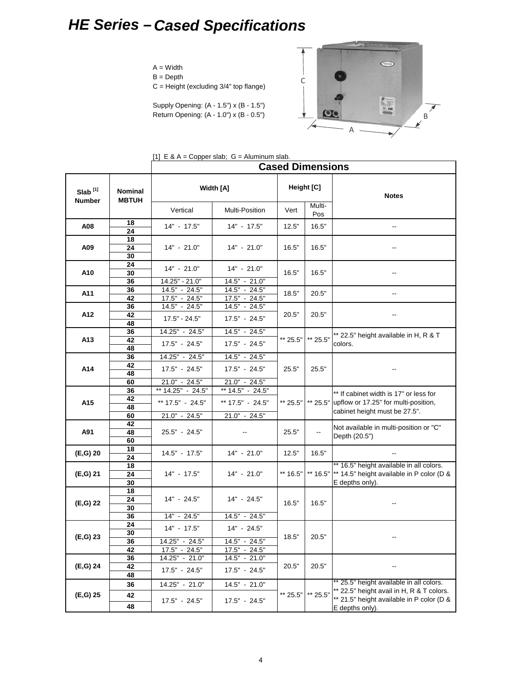## *HE Series – Cased Specifications*

#### $A = Width$

 $B = Depth$ 

 $C =$  Height (excluding  $3/4"$  top flange)

Supply Opening: (A - 1.5") x (B - 1.5") Return Opening: (A - 1.0") x (B - 0.5")



|  |  | [1] $E \& A = Copper slab$ ; $G =$ Aluminum slab. |
|--|--|---------------------------------------------------|
|  |  |                                                   |

|                     |                                |                                                      |                                                     | <b>Cased Dimensions</b> |                          |                                                                                                                 |
|---------------------|--------------------------------|------------------------------------------------------|-----------------------------------------------------|-------------------------|--------------------------|-----------------------------------------------------------------------------------------------------------------|
| Slab <sup>[1]</sup> | <b>Nominal</b><br><b>MBTUH</b> |                                                      | Width [A]                                           |                         | Height [C]               | <b>Notes</b>                                                                                                    |
| Number              |                                | Vertical                                             | Multi-Position                                      | Vert                    | Multi-<br>Pos            |                                                                                                                 |
| A08                 | 18<br>24                       | $14" - 17.5"$                                        | $14" - 17.5"$                                       | 12.5"                   | 16.5"                    | --                                                                                                              |
| A09                 | 18<br>24<br>30                 | $14" - 21.0"$                                        | $14" - 21.0"$                                       | 16.5"                   | 16.5"                    |                                                                                                                 |
| A10                 | 24<br>30                       | $14" - 21.0"$                                        | $14" - 21.0"$                                       | 16.5"                   | 16.5"                    |                                                                                                                 |
| A11                 | 36<br>36<br>42                 | 14.25" - 21.0"<br>$14.5" - 24.5"$<br>$17.5" - 24.5"$ | 14.5" - 21.0"<br>$14.5" - 24.5"$<br>$17.5" - 24.5"$ | 18.5"                   | 20.5"                    |                                                                                                                 |
| A12                 | 36<br>42                       | $14.\overline{5" - 24.5"$<br>$17.5" - 24.5"$         | 14.5" - 24.5"<br>17.5" - 24.5"                      | 20.5"                   | 20.5"                    |                                                                                                                 |
| A13                 | 48<br>36<br>42                 | 14.25" - 24.5"<br>$17.5" - 24.5"$                    | $14.5" - 24.5"$<br>$17.5" - 24.5"$                  | ** 25.5"                | ** 25.5"                 | ** 22.5" height available in H, R & T<br>colors.                                                                |
|                     | 48<br>36<br>42                 | 14.25" - 24.5"                                       | 14.5" - 24.5"                                       |                         |                          |                                                                                                                 |
| A14                 | 48<br>60                       | $17.5" - 24.5"$<br>21.0" - 24.5"                     | $17.5" - 24.5"$<br>$21.0" - 24.5"$                  | 25.5"                   | 25.5"                    |                                                                                                                 |
| A15                 | 36<br>42<br>48                 | ** 14.25" - 24.5"<br>** 17.5" - 24.5"                | ** 14.5" - 24.5"<br>** 17.5" - 24.5"                | ** 25.5"                | ** 25.5"                 | ** If cabinet width is 17" or less for<br>upflow or 17.25" for multi-position,<br>cabinet height must be 27.5". |
| A91                 | 60<br>42<br>48                 | 21.0" - 24.5"<br>25.5" - 24.5"                       | $21.0" - 24.5"$                                     | 25.5"                   | $\overline{\phantom{a}}$ | Not available in multi-position or "C"<br>Depth (20.5")                                                         |
| (E,G) 20            | 60<br>18<br>24                 | $14.5" - 17.5"$                                      | $14" - 21.0"$                                       | 12.5"                   | 16.5"                    | $\qquad \qquad -$                                                                                               |
| (E,G) 21            | 18<br>24<br>30                 | 14" - 17.5"                                          | $14" - 21.0"$                                       | ** 16.5"                | ** 16.5"                 | ** 16.5" height available in all colors.<br>** 14.5" height available in P color (D &<br>E depths only).        |
| $(E, G)$ 22         | 18<br>24<br>30                 | 14" - 24.5"                                          | 14" - 24.5"                                         | 16.5"                   | 16.5"                    |                                                                                                                 |
|                     | 36<br>24                       | 14" - 24.5"                                          | $14.5" - 24.5"$                                     |                         |                          |                                                                                                                 |
| $(E, G)$ 23         | 30<br>36<br>42                 | $14" - 17.5"$<br>14.25" - 24.5"<br>$17.5" - 24.5"$   | $14" - 24.5"$<br>14.5" - 24.5"<br>$17.5" - 24.5"$   | 18.5"                   | 20.5"                    |                                                                                                                 |
| (E,G) 24            | 36<br>42<br>48                 | 14.25" - 21.0"<br>$17.5" - 24.5"$                    | 14.5" - 21.0"<br>$17.5" - 24.5"$                    | 20.5"                   | 20.5"                    |                                                                                                                 |
| (E,G) 25            | 36<br>42                       | 14.25" - 21.0"                                       | $14.5" - 21.0"$                                     | ** 25.5"                | ** 25.5"                 | * 25.5" height available in all colors.<br>** 22.5" height avail in H, R & T colors.                            |
|                     | 48                             | 17.5" - 24.5"                                        | $17.5" - 24.5"$                                     |                         |                          | ** 21.5" height available in P color (D &<br>E depths only).                                                    |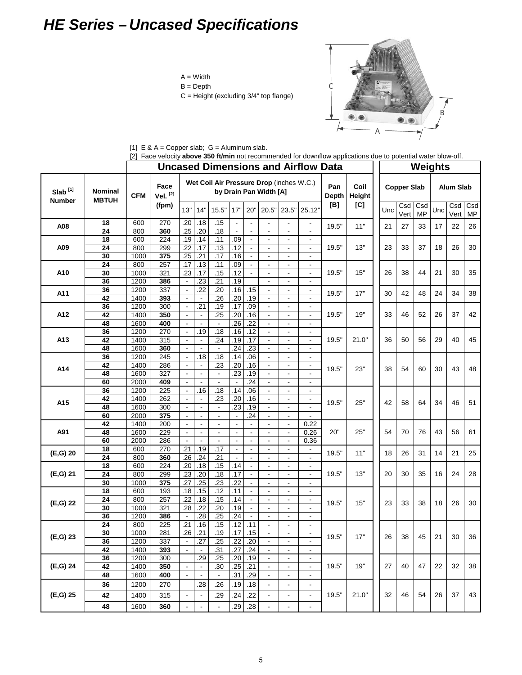## *HE Series – Uncased Specifications*

- $A = Width$
- B = Depth
- C = Height (excluding 3/4" top flange)



|  |  |  | [1] $E \& A = Copper slab$ ; $G =$ Aluminum slab. |
|--|--|--|---------------------------------------------------|
|  |  |  |                                                   |

|                  |                 |              | [2] Face velocity <b>above 350 ft/min</b> not recommended for downflow applications due to potential water blow-off. |                |                          |                |                          |                |                                            |                                            | <b>Uncased Dimensions and Airflow Data</b> |              |                |     |                    |                  | Weights |                  |                  |
|------------------|-----------------|--------------|----------------------------------------------------------------------------------------------------------------------|----------------|--------------------------|----------------|--------------------------|----------------|--------------------------------------------|--------------------------------------------|--------------------------------------------|--------------|----------------|-----|--------------------|------------------|---------|------------------|------------------|
|                  |                 |              |                                                                                                                      |                |                          |                |                          |                | Wet Coil Air Pressure Drop (inches W.C.)   |                                            |                                            |              |                |     |                    |                  |         |                  |                  |
| $S$ lab $^{[1]}$ | <b>Nominal</b>  | <b>CFM</b>   | Face<br>Vel. [2]                                                                                                     |                |                          |                |                          |                | by Drain Pan Width [A]                     |                                            |                                            | Pan<br>Depth | Coil<br>Height |     | <b>Copper Slab</b> |                  |         | <b>Alum Slab</b> |                  |
| <b>Number</b>    | <b>MBTUH</b>    |              | (fpm)                                                                                                                | 13"            | 14"                      | 15.5"          | 17"                      | 20"            | 20.5"                                      | 23.5'                                      | 25.12"                                     | [B]          | [C]            | Unc | Csd<br>Vert        | Csd<br><b>MP</b> | Unc     | Csd<br>Vert      | Csd<br><b>MP</b> |
| A08              | 18              | 600          | 270                                                                                                                  | .20            | .18                      | .15            |                          |                |                                            | $\qquad \qquad \blacksquare$               | ۰                                          | 19.5"        | 11"            | 21  | 27                 | 33               | 17      | 22               | 26               |
|                  | 24              | 800          | 360                                                                                                                  | .25            | .20                      | .18            | $\blacksquare$           |                |                                            | $\blacksquare$                             |                                            |              |                |     |                    |                  |         |                  |                  |
|                  | 18              | 600          | 224                                                                                                                  | .19            | .14                      | .11            | .09                      |                | $\overline{\phantom{a}}$                   | $\blacksquare$                             | $\overline{\phantom{a}}$                   |              |                |     |                    |                  |         |                  |                  |
| A09              | 24              | 800          | 299                                                                                                                  | .22            | .17                      | .13            | .12                      |                | $\blacksquare$                             | $\blacksquare$                             |                                            | 19.5"        | 13"            | 23  | 33                 | 37               | 18      | 26               | 30               |
|                  | 30              | 1000         | 375                                                                                                                  | .25            | .21                      | .17            | .16                      |                |                                            | $\blacksquare$                             |                                            |              |                |     |                    |                  |         |                  |                  |
|                  | 24              | 800          | 257                                                                                                                  | .17            | .13                      | .11            | .09                      | $\omega$       | $\blacksquare$                             | $\blacksquare$                             | $\blacksquare$                             |              |                |     |                    |                  |         |                  |                  |
| A10              | 30              | 1000         | 321                                                                                                                  | .23            | .17                      | .15            | .12                      |                | $\overline{\phantom{a}}$                   | $\blacksquare$                             | $\blacksquare$                             | 19.5"        | 15"            | 26  | 38                 | 44               | 21      | 30               | 35               |
|                  | 36              | 1200         | 386                                                                                                                  |                | .23                      | .21            | .19                      |                |                                            |                                            |                                            |              |                |     |                    |                  |         |                  |                  |
| A11              | 36              | 1200         | 337                                                                                                                  | $\Box$         | .22                      | .20            | .16                      | .15            | $\blacksquare$                             | $\overline{\phantom{a}}$                   | $\overline{\phantom{a}}$                   | 19.5"        | 17"            | 30  | 42                 | 48               | 24      | 34               | 38               |
|                  | 42              | 1400         | 393                                                                                                                  | $\blacksquare$ | $\blacksquare$           | .26            | .20                      | .19            |                                            | $\blacksquare$                             |                                            |              |                |     |                    |                  |         |                  |                  |
|                  | 36              | 1200         | 300                                                                                                                  | $\blacksquare$ | .21                      | .19            | .17                      | .09            |                                            | $\blacksquare$                             |                                            |              |                |     |                    |                  |         |                  |                  |
| A12              | 42              | 1400         | 350                                                                                                                  | $\blacksquare$ | $\Box$                   | .25            | .20                      | .16            | $\blacksquare$                             | $\blacksquare$                             | $\blacksquare$                             | 19.5"        | 19"            | 33  | 46                 | 52               | 26      | 37               | 42               |
|                  | 48              | 1600         | 400                                                                                                                  |                | $\blacksquare$           | $\blacksquare$ | .26                      | .22            | $\blacksquare$                             | $\blacksquare$                             | $\overline{\phantom{a}}$                   |              |                |     |                    |                  |         |                  |                  |
|                  | 36              | 1200         | 270                                                                                                                  | $\blacksquare$ | .19                      | .18            | .16                      | .12            | $\blacksquare$                             | $\blacksquare$                             | $\overline{\phantom{a}}$                   |              |                |     |                    |                  |         |                  |                  |
| A13              | 42              | 1400         | 315                                                                                                                  |                | $\blacksquare$           | .24            | .19                      | .17            | $\blacksquare$                             | $\blacksquare$                             |                                            | 19.5"        | 21.0"          | 36  | 50                 | 56               | 29      | 40               | 45               |
|                  | 48              | 1600         | 360                                                                                                                  |                | $\blacksquare$           | $\blacksquare$ | .24                      | .23            |                                            | $\blacksquare$                             | $\blacksquare$                             |              |                |     |                    |                  |         |                  |                  |
|                  | 36              | 1200         | 245                                                                                                                  | $\blacksquare$ | .18                      | .18            | .14                      | .06            | $\blacksquare$                             | $\blacksquare$                             | $\overline{\phantom{a}}$                   |              |                |     |                    |                  |         |                  |                  |
| A14              | 42              | 1400         | 286                                                                                                                  |                | $\blacksquare$           | .23            | .20                      | .16            | $\overline{\phantom{a}}$                   | $\overline{\phantom{a}}$                   | $\overline{\phantom{a}}$                   | 19.5"        | 23"            | 38  | 54                 | 60               | 30      | 43               | 48               |
|                  | 48              | 1600         | 327                                                                                                                  | $\blacksquare$ | $\blacksquare$           | $\blacksquare$ | .23                      | .19            |                                            | $\overline{\phantom{a}}$                   |                                            |              |                |     |                    |                  |         |                  |                  |
|                  | 60              | 2000         | 409                                                                                                                  |                | $\blacksquare$<br>.16    | $\blacksquare$ | .14                      | .24            | $\blacksquare$                             | $\blacksquare$                             | $\blacksquare$                             |              |                |     |                    |                  |         |                  |                  |
|                  | 36<br>42        | 1200<br>1400 | 225<br>262                                                                                                           |                | $\blacksquare$           | .18<br>.23     | .20                      | .06<br>.16     | $\blacksquare$                             | $\blacksquare$<br>$\blacksquare$           | $\blacksquare$                             |              |                |     |                    |                  |         |                  |                  |
| A15              | 48              | 1600         | 300                                                                                                                  | $\blacksquare$ | $\overline{\phantom{a}}$ | $\Box$         | .23                      | .19            |                                            |                                            |                                            | 19.5"        | 25"            | 42  | 58                 | 64               | 34      | 46               | 51               |
|                  | 60              | 2000         | 375                                                                                                                  | $\blacksquare$ | $\blacksquare$           | $\blacksquare$ | $\Delta$                 | .24            | $\blacksquare$<br>$\overline{\phantom{a}}$ | $\blacksquare$<br>$\overline{\phantom{a}}$ | $\blacksquare$                             |              |                |     |                    |                  |         |                  |                  |
|                  | 42              | 1400         | 200                                                                                                                  |                | $\blacksquare$           | $\blacksquare$ | $\overline{\phantom{a}}$ |                | $\blacksquare$                             | $\blacksquare$                             | 0.22                                       |              |                |     |                    |                  |         |                  |                  |
| A91              | 48              | 1600         | 229                                                                                                                  | $\Box$         | $\blacksquare$           | $\blacksquare$ | $\blacksquare$           | $\blacksquare$ | $\overline{\phantom{a}}$                   | $\blacksquare$                             | 0.26                                       | 20"          | 25"            | 54  | 70                 | 76               | 43      | 56               | 61               |
|                  | 60              | 2000         | 286                                                                                                                  |                | $\overline{\phantom{a}}$ |                | $\blacksquare$           |                | $\blacksquare$                             | $\blacksquare$                             | 0.36                                       |              |                |     |                    |                  |         |                  |                  |
|                  | 18              | 600          | 270                                                                                                                  | .21            | .19                      | .17            | $\blacksquare$           | $\blacksquare$ | ÷,                                         | $\blacksquare$                             |                                            |              |                |     |                    |                  |         |                  |                  |
| (E,G) 20         | 24              | 800          | 360                                                                                                                  | .26            | .24                      | .21            | $\blacksquare$           |                | $\blacksquare$                             | $\blacksquare$                             |                                            | 19.5"        | 11"            | 18  | 26                 | 31               | 14      | 21               | 25               |
|                  | 18              | 600          | 224                                                                                                                  | .20            | .18                      | .15            | .14                      |                |                                            | $\blacksquare$                             |                                            |              |                |     |                    |                  |         |                  |                  |
| (E,G) 21         | 24              | 800          | 299                                                                                                                  | .23            | .20                      | .18            | .17                      | $\blacksquare$ | $\blacksquare$                             | $\Box$                                     | $\blacksquare$                             | 19.5"        | 13"            | 20  | 30                 | 35               | 16      | 24               | 28               |
|                  | 30              | 1000         | 375                                                                                                                  | .27            | .25                      | .23            | .22                      |                |                                            | $\blacksquare$                             |                                            |              |                |     |                    |                  |         |                  |                  |
|                  | $\overline{18}$ | 600          | 193                                                                                                                  | .18            | .15                      | .12            | .11                      |                |                                            |                                            |                                            |              |                |     |                    |                  |         |                  |                  |
|                  | 24              | 800          | 257                                                                                                                  | .22            | .18                      | .15            | .14                      | $\blacksquare$ | $\overline{\phantom{a}}$                   | $\blacksquare$                             | $\blacksquare$                             |              |                |     |                    |                  |         |                  |                  |
| $(E,G)$ 22       | 30              | 1000         | 321                                                                                                                  | .28            | .22                      | .20            | .19                      | $\blacksquare$ | $\blacksquare$                             | $\blacksquare$                             | $\blacksquare$                             | 19.5"        | 15"            | 23  | 33                 | 38               | 18      | 26               | 30               |
|                  | 36              | 1200         | 386                                                                                                                  |                | .28                      | .25            | .24                      |                |                                            | $\overline{a}$                             |                                            |              |                |     |                    |                  |         |                  |                  |
|                  | 24              | 800          | 225                                                                                                                  | .21            | .16                      | .15            | .12                      | .11            | $\overline{\phantom{a}}$                   | $\blacksquare$                             | $\overline{\phantom{a}}$                   |              |                |     |                    |                  |         |                  |                  |
|                  | 30              | 1000         | 281                                                                                                                  | .26            | .21                      | .19            | .17                      | .15            |                                            | $\blacksquare$                             |                                            |              |                |     |                    |                  |         |                  |                  |
| (E,G) 23         | 36              | 1200         | 337                                                                                                                  | $\blacksquare$ | .27                      | .25            | .22                      | .20            | $\overline{\phantom{a}}$                   | $\blacksquare$                             |                                            | 19.5"        | 17"            | 26  | 38                 | 45               | 21      | 30               | 36               |
|                  | 42              | 1400         | 393                                                                                                                  | $\blacksquare$ | $\blacksquare$           | .31            | .27                      | .24            | $\overline{\phantom{a}}$                   | $\overline{\phantom{a}}$                   | $\blacksquare$                             |              |                |     |                    |                  |         |                  |                  |
|                  | 36              | 1200         | 300                                                                                                                  |                | .29                      | .25            | .20                      | .19            | $\overline{\phantom{a}}$                   | $\blacksquare$                             | $\overline{\phantom{a}}$                   |              |                |     |                    |                  |         |                  |                  |
| (E,G) 24         | 42              | 1400         | 350                                                                                                                  | $\blacksquare$ | $\blacksquare$           | .30            | .25                      | .21            | $\blacksquare$                             | $\blacksquare$                             | $\blacksquare$                             | 19.5"        | 19"            | 27  | 40                 | 47               | 22      | 32               | 38               |
|                  | 48              | 1600         | 400                                                                                                                  | $\blacksquare$ | $\blacksquare$           | $\blacksquare$ | .31                      | .29            | $\blacksquare$                             | $\overline{\phantom{a}}$                   |                                            |              |                |     |                    |                  |         |                  |                  |
|                  | 36              | 1200         | 270                                                                                                                  |                | .28                      | .26            | .19                      | .18            |                                            | $\qquad \qquad \blacksquare$               |                                            |              |                |     |                    |                  |         |                  |                  |
| $(E,G)$ 25       | 42              | 1400         | 315                                                                                                                  | $\blacksquare$ |                          | .29            | .24                      | .22            | $\blacksquare$                             | $\blacksquare$                             |                                            | 19.5"        | 21.0"          | 32  | 46                 | 54               | 26      | 37               | 43               |
|                  |                 |              |                                                                                                                      |                | $\overline{\phantom{a}}$ |                |                          |                |                                            |                                            | $\blacksquare$                             |              |                |     |                    |                  |         |                  |                  |
|                  | 48              | 1600         | 360                                                                                                                  | $\blacksquare$ | $\overline{\phantom{a}}$ | $\blacksquare$ | .29                      | .28            | $\overline{\phantom{a}}$                   | $\blacksquare$                             | $\blacksquare$                             |              |                |     |                    |                  |         |                  |                  |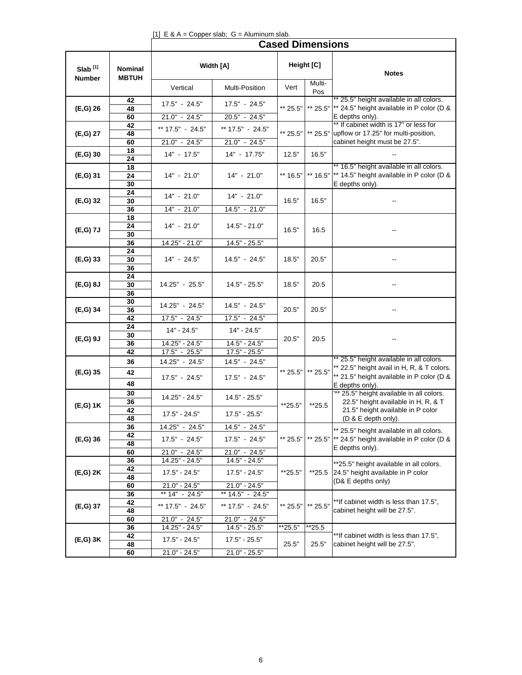#### [1]  $E \& A = Copper slab; G = Aluminum slab.$

|                                      |                         |                                   |                                     | <b>Cased Dimensions</b> |                 |                                                                                                          |
|--------------------------------------|-------------------------|-----------------------------------|-------------------------------------|-------------------------|-----------------|----------------------------------------------------------------------------------------------------------|
| Slab <sup>[1]</sup><br><b>Number</b> | Nominal<br><b>MBTUH</b> |                                   | Width [A]                           |                         | Height [C]      | <b>Notes</b>                                                                                             |
|                                      |                         | Vertical                          | Multi-Position                      | Vert                    | Multi-<br>Pos   |                                                                                                          |
| $(E,G)$ 26                           | 42<br>48                | 17.5" - 24.5"                     | 17.5" - 24.5"                       | ** 25.5"                |                 | ** 25.5" height available in all colors.<br>** 25.5"  ** 24.5" height available in P color (D &          |
|                                      | 60<br>42                | $21.0" - 24.5"$                   | 20.5" - 24.5"                       |                         |                 | E depths only).<br>** If cabinet width is 17" or less for                                                |
| (E,G) 27                             | 48                      | ** 17.5" - 24.5"                  | ** 17.5" - 24.5"                    | ** 25.5"                |                 | ** 25.5" upflow or 17.25" for multi-position,                                                            |
|                                      | 60<br>18                | 21.0" - 24.5"                     | 21.0" - 24.5"                       |                         |                 | cabinet height must be 27.5".                                                                            |
| $(E, G)$ 30                          | 24                      | $14" - 17.5"$                     | 14" - 17.75"                        | 12.5"                   | 16.5"           |                                                                                                          |
| (E,G) 31                             | 18<br>24<br>30          | 14" - 21.0"                       | 14" - 21.0"                         | ** 16.5"                | ** 16.5"        | ** 16.5" height available in all colors.<br>** 14.5" height available in P color (D &<br>E depths only). |
| (E,G) 32                             | 24<br>30                | $14" - 21.0"$                     | $14" - 21.0"$                       | 16.5"                   | 16.5"           |                                                                                                          |
|                                      | 36<br>18                | $14" - 21.0"$<br>$14" - 21.0"$    | 14.5" - 21.0"                       |                         |                 |                                                                                                          |
| (E,G) 7J                             | 24<br>30                |                                   | $14.5" - 21.0"$                     | 16.5"                   | 16.5            |                                                                                                          |
|                                      | 36<br>24                | 14.25" - 21.0"                    | 14.5" - 25.5"                       |                         |                 |                                                                                                          |
| (E,G) 33                             | 30<br>36                | 14" - 24.5"                       | 14.5" - 24.5"                       | 18.5"                   | 20.5"           |                                                                                                          |
| $(E,G)$ 8J                           | 24<br>30<br>36          | 14.25" - 25.5"                    | $14.5" - 25.5"$                     | 18.5"                   | 20.5            |                                                                                                          |
| (E,G) 34                             | 30<br>36                | 14.25" - 24.5"                    | 14.5" - 24.5"                       | 20.5"                   | 20.5"           |                                                                                                          |
|                                      | 42                      | 17.5" - 24.5"                     | 17.5" - 24.5"                       |                         |                 |                                                                                                          |
| $(E,G)$ 9J                           | 24<br>30                | $14" - 24.5"$                     | 14" - 24.5"                         | 20.5"                   | 20.5            |                                                                                                          |
|                                      | 36<br>42                | 14.25" - 24.5"<br>17.5" - 25.5"   | $14.5" - 24.5"$<br>17.5" - 25.5"    |                         |                 |                                                                                                          |
|                                      | 36                      | 14.25" - 24.5"                    | 14.5" - 24.5"                       |                         |                 | * 25.5" height available in all colors.<br>** 22.5" height avail in H, R, & T colors.                    |
| (E,G) 35                             | 42<br>48                | 17.5" - 24.5"                     | 17.5" - 24.5"                       | ** 25.5"                | ** 25.5"        | ** 21.5" height available in P color (D &<br>E depths only).                                             |
|                                      | 30<br>36                | 14.25" - 24.5"                    | $14.5" - 25.5"$                     |                         |                 | "** 25.5" height available in all colors.<br>22.5" height available in H, R, & T                         |
| $(E,G)$ 1K                           | 42<br>48                | $17.5" - 24.5"$                   | $17.5" - 25.5"$                     | **25.5"                 | $*25.5$         | 21.5" height available in P color<br>(D & E depth only).                                                 |
|                                      | 36                      | 14.25" - 24.5"                    | 14.5" - 24.5"                       |                         |                 | ** 25.5" height available in all colors.                                                                 |
| $(E,G)$ 36                           | 42<br>48                | 17.5" - 24.5"                     | 17.5" - 24.5"                       | ** 25.5"                |                 | ** 25.5"  ** 24.5" height available in P color (D &<br>E depths only).                                   |
|                                      | 60<br>36                | 21.0" - 24.5"<br>14.25" - 24.5"   | 21.0" - 24.5"<br>14.5" - 24.5"      |                         |                 |                                                                                                          |
| (E,G) 2K                             | 42<br>48                | $17.5" - 24.5"$                   | $17.5" - 24.5"$                     | **25.5"                 | $*25.5$         | **25.5" height available in all colors.<br>24.5" height available in P color<br>(D& E depths only)       |
|                                      | 60<br>36                | $21.0" - 24.5"$<br>** 14" - 24.5" | $21.0" - 24.5"$<br>** 14.5" - 24.5" |                         |                 |                                                                                                          |
| (E,G) 37                             | 42<br>48                | ** 17.5" - 24.5"                  | ** 17.5" - 24.5"                    | ** 25.5"                | ** 25.5"        | **If cabinet width is less than 17.5",<br>cabinet height will be 27.5".                                  |
|                                      | 60                      | $21.0" - 24.5"$                   | 21.0" - 24.5"                       |                         |                 |                                                                                                          |
| $(E,G)$ 3K                           | 36<br>42<br>48          | 14.25" - 24.5"<br>$17.5" - 24.5"$ | $14.5" - 25.5"$<br>17.5" - 25.5"    | **25.5"<br>25.5"        | **25.5<br>25.5" | **If cabinet width is less than 17.5",<br>cabinet height will be 27.5".                                  |
|                                      | 60                      | $21.0" - 24.5"$                   | $21.0" - 25.5"$                     |                         |                 |                                                                                                          |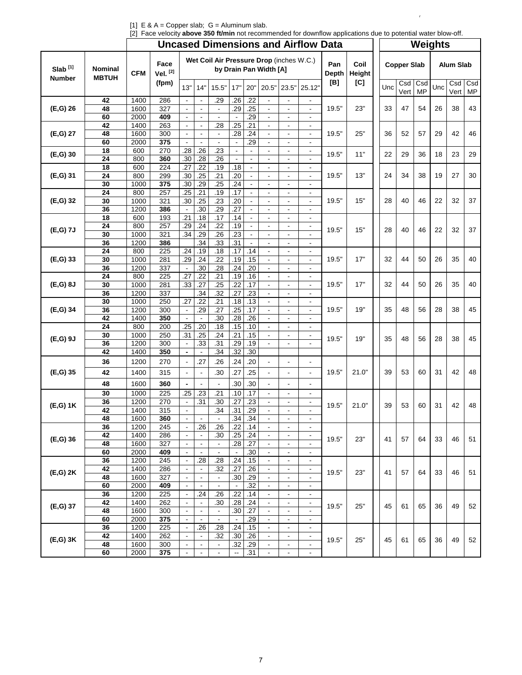[1]  $E \& A = Copper slab; G = Aluminum slab.$ 

| [2] Face velocity above 350 ft/min not recommended for downflow applications due to potential water blow-off. |
|---------------------------------------------------------------------------------------------------------------|
|---------------------------------------------------------------------------------------------------------------|

 $\mathcal{L}^{\mathcal{L}}$ 

|                     |                         |              | $\mu$ race velocity <b>above 550 Turnin</b> flot recommended for downlow applications due to potential water blow-on. |                                            |                          |                                          |                          |                |                                            |                                            | <b>Uncased Dimensions and Airflow Data</b>           |                     |                |     |                    |                  | Weights |                  |                  |
|---------------------|-------------------------|--------------|-----------------------------------------------------------------------------------------------------------------------|--------------------------------------------|--------------------------|------------------------------------------|--------------------------|----------------|--------------------------------------------|--------------------------------------------|------------------------------------------------------|---------------------|----------------|-----|--------------------|------------------|---------|------------------|------------------|
|                     |                         |              |                                                                                                                       |                                            |                          |                                          |                          |                |                                            |                                            |                                                      |                     |                |     |                    |                  |         |                  |                  |
| Slab <sup>[1]</sup> | Nominal<br><b>MBTUH</b> | <b>CFM</b>   | Face<br>Vel. [2]                                                                                                      |                                            |                          | Wet Coil Air Pressure Drop (inches W.C.) |                          |                | by Drain Pan Width [A]                     |                                            |                                                      | Pan<br><b>Depth</b> | Coil<br>Height |     | <b>Copper Slab</b> |                  |         | <b>Alum Slab</b> |                  |
| Number              |                         |              | (fpm)                                                                                                                 | 13"                                        | 14"                      | 15.5"                                    | 17"                      | 20"            | 20.5"                                      | 23.5"                                      | 25.12"                                               | [B]                 | [C]            | Unc | Csd<br>Vert        | Csd<br><b>MP</b> | Unc     | Csd<br>Vert      | Csd<br><b>MP</b> |
|                     | 42                      | 1400         | 286                                                                                                                   |                                            |                          | .29                                      | .26                      | .22            |                                            |                                            |                                                      |                     |                |     |                    |                  |         |                  |                  |
| (E,G) 26            | 48                      | 1600         | 327                                                                                                                   | $\omega$                                   | $\mathbb{Z}^2$           | $\blacksquare$                           | .29                      | .25            | $\blacksquare$                             | $\blacksquare$                             | $\blacksquare$                                       | 19.5"               | 23"            | 33  | 47                 | 54               | 26      | 38               | 43               |
|                     | 60                      | 2000         | 409                                                                                                                   |                                            |                          |                                          | $\overline{a}$           | .29            |                                            | ä,                                         |                                                      |                     |                |     |                    |                  |         |                  |                  |
|                     | 42                      | 1400         | 263                                                                                                                   |                                            |                          | .28                                      | .25                      | .21            |                                            | $\blacksquare$                             | $\overline{\phantom{a}}$                             | 19.5"               | 25"            | 36  | 52                 | 57               | 29      | 42               | 46               |
| (E,G) 27            | 48<br>60                | 1600<br>2000 | 300<br>375                                                                                                            | $\blacksquare$<br>$\blacksquare$           | $\blacksquare$           | $\blacksquare$<br>$\blacksquare$         | .28<br>$\blacksquare$    | .24<br>.29     | $\blacksquare$                             | $\blacksquare$<br>$\blacksquare$           | $\blacksquare$                                       |                     |                |     |                    |                  |         |                  |                  |
|                     | 18                      | 600          | 270                                                                                                                   | .28                                        | .26                      | .23                                      | $\blacksquare$           |                | $\blacksquare$                             | $\blacksquare$                             | $\blacksquare$                                       |                     |                |     |                    |                  |         |                  |                  |
| $(E, G)$ 30         | 24                      | 800          | 360                                                                                                                   | .30                                        | .28                      | .26                                      | $\blacksquare$           | $\blacksquare$ | $\overline{\phantom{a}}$                   | $\blacksquare$                             |                                                      | 19.5"               | 11"            | 22  | 29                 | 36               | 18      | 23               | 29               |
|                     | 18                      | 600          | 224                                                                                                                   | .27                                        | .22                      | .19                                      | .18                      | $\blacksquare$ |                                            | $\blacksquare$                             | $\blacksquare$                                       |                     |                |     |                    |                  |         |                  |                  |
| (E,G) 31            | 24                      | 800          | 299                                                                                                                   | .30                                        | .25                      | .21                                      | .20                      | $\blacksquare$ | $\blacksquare$                             | $\blacksquare$                             | $\blacksquare$                                       | 19.5"               | 13"            | 24  | 34                 | 38               | 19      | 27               | 30               |
|                     | 30                      | 1000         | 375                                                                                                                   | .30                                        | .29                      | .25                                      | .24                      |                |                                            | $\blacksquare$                             |                                                      |                     |                |     |                    |                  |         |                  |                  |
|                     | 24                      | 800          | 257                                                                                                                   | .25                                        | .21                      | .19                                      | .17                      |                |                                            |                                            |                                                      |                     |                |     |                    |                  |         |                  |                  |
| (E,G) 32            | 30<br>36                | 1000<br>1200 | 321<br>386                                                                                                            | .30                                        | .25<br>.30               | .23<br>.29                               | .20<br>.27               | $\blacksquare$ | $\blacksquare$                             | $\blacksquare$<br>$\blacksquare$           | $\blacksquare$                                       | 19.5"               | 15"            | 28  | 40                 | 46               | 22      | 32               | 37               |
|                     | 18                      | 600          | 193                                                                                                                   | .21                                        | .18                      | .17                                      | .14                      |                |                                            | $\overline{\phantom{a}}$                   |                                                      |                     |                |     |                    |                  |         |                  |                  |
|                     | 24                      | 800          | 257                                                                                                                   | .29                                        | .24                      | .22                                      | .19                      | $\omega$       | $\blacksquare$                             | $\blacksquare$                             | $\overline{\phantom{a}}$                             |                     |                |     |                    |                  |         |                  |                  |
| (E,G) 7J            | 30                      | 1000         | 321                                                                                                                   | .34                                        | .29                      | .26                                      | .23                      | $\blacksquare$ |                                            | $\blacksquare$                             | $\blacksquare$                                       | 19.5"               | 15"            | 28  | 40                 | 46               | 22      | 32               | 37               |
|                     | 36                      | 1200         | 386                                                                                                                   |                                            | .34                      | $\overline{.33}$                         | .31                      |                |                                            | $\blacksquare$                             |                                                      |                     |                |     |                    |                  |         |                  |                  |
|                     | 24                      | 800          | 225                                                                                                                   | .24                                        | .19                      | .18                                      | .17                      | .14            |                                            | $\overline{\phantom{a}}$                   | $\blacksquare$                                       |                     |                |     |                    |                  |         |                  |                  |
| $(E, G)$ 33         | 30                      | 1000         | 281                                                                                                                   | .29                                        | .24                      | .22                                      | .19                      | .15            | $\blacksquare$                             | $\blacksquare$                             | $\blacksquare$                                       | 19.5"               | 17"            | 32  | 44                 | 50               | 26      | 35               | 40               |
|                     | 36                      | 1200         | 337                                                                                                                   |                                            | .30                      | .28                                      | .24                      | .20            |                                            | $\blacksquare$                             |                                                      |                     |                |     |                    |                  |         |                  |                  |
| $(E,G)$ 8J          | 24<br>30                | 800<br>1000  | 225<br>281                                                                                                            | .27<br>.33                                 | .22<br>.27               | .21<br>.25                               | .19<br>.22               | .16<br>.17     |                                            | $\overline{\phantom{a}}$<br>$\blacksquare$ | $\overline{\phantom{a}}$<br>$\blacksquare$           | 19.5"               | 17"            | 32  | 44                 | 50               | 26      | 35               | 40               |
|                     | 36                      | 1200         | 337                                                                                                                   |                                            | .34                      | .32                                      | .27                      | .23            | $\blacksquare$                             | $\blacksquare$                             | $\blacksquare$                                       |                     |                |     |                    |                  |         |                  |                  |
|                     | 30                      | 1000         | 250                                                                                                                   | .27                                        | .22                      | .21                                      | .18                      | .13            |                                            | $\overline{\phantom{a}}$                   |                                                      |                     |                |     |                    |                  |         |                  |                  |
| (E,G) 34            | 36                      | 1200         | 300                                                                                                                   | $\Box$                                     | .29                      | .27                                      | .25                      | .17            |                                            | $\blacksquare$                             | $\blacksquare$                                       | 19.5"               | 19"            | 35  | 48                 | 56               | 28      | 38               | 45               |
|                     | 42                      | 1400         | 350                                                                                                                   | $\blacksquare$                             |                          | .30                                      | .28                      | .26            | $\blacksquare$                             | $\blacksquare$                             | $\blacksquare$                                       |                     |                |     |                    |                  |         |                  |                  |
|                     | 24                      | 800          | 200                                                                                                                   | .25                                        | .20                      | .18                                      | .15                      | .10            |                                            | $\blacksquare$                             | $\blacksquare$                                       |                     |                |     |                    |                  |         |                  |                  |
| $(E,G)$ 9J          | 30                      | 1000         | 250                                                                                                                   | .31                                        | .25                      | .24                                      | .21                      | .15            |                                            | $\blacksquare$                             | ۰                                                    | 19.5"               | 19"            | 35  | 48                 | 56               | 28      | 38               | 45               |
|                     | 36<br>42                | 1200<br>1400 | 300<br>350                                                                                                            | $\blacksquare$<br>$\blacksquare$           | .33<br>$\sim$            | .31<br>.34                               | .29<br>.32               | .19<br>.30     | $\blacksquare$                             | $\blacksquare$                             |                                                      |                     |                |     |                    |                  |         |                  |                  |
|                     | 36                      |              | 270                                                                                                                   |                                            | .27                      | .26                                      | .24                      | .20            |                                            |                                            | $\blacksquare$                                       |                     |                |     |                    |                  |         |                  |                  |
|                     |                         | 1200         |                                                                                                                       |                                            |                          |                                          |                          |                |                                            |                                            |                                                      |                     |                |     |                    |                  |         |                  |                  |
| (E,G) 35            | 42                      | 1400         | 315                                                                                                                   |                                            |                          | .30                                      | .27                      | .25            |                                            |                                            |                                                      | 19.5"               | 21.0"          | 39  | 53                 | 60               | 31      | 42               | 48               |
|                     | 48                      | 1600         | 360                                                                                                                   | $\blacksquare$                             |                          |                                          | .30                      | .30            |                                            | $\overline{\phantom{a}}$                   |                                                      |                     |                |     |                    |                  |         |                  |                  |
|                     | 30                      | 1000         | 225                                                                                                                   | .25                                        | .23                      | .21                                      | .10                      | .17            |                                            | $\blacksquare$                             | $\overline{\phantom{a}}$                             |                     |                |     |                    |                  |         |                  |                  |
| $(E,G)$ 1K          | 36                      | 1200         | 270                                                                                                                   | $\blacksquare$                             | .31                      | .30                                      | .27                      | .23            |                                            | ÷,                                         | $\blacksquare$                                       | 19.5"               | 21.0"          | 39  | 53                 | 60               | 31      | 42               | 48               |
|                     | 42                      | 1400         | 315                                                                                                                   | $\blacksquare$<br>$\overline{\phantom{a}}$ | $\overline{\phantom{a}}$ | .34                                      | .31                      | .29            | $\blacksquare$<br>$\blacksquare$           | $\blacksquare$<br>$\overline{\phantom{a}}$ | $\blacksquare$                                       |                     |                |     |                    |                  |         |                  |                  |
|                     | 48<br>36                | 1600<br>1200 | 360<br>245                                                                                                            | $\blacksquare$                             | .26                      | .26                                      | .34<br>.22               | .34<br>.14     | $\overline{\phantom{a}}$                   | $\overline{\phantom{a}}$                   | $\overline{\phantom{a}}$                             |                     |                |     |                    |                  |         |                  |                  |
|                     | 42                      | 1400         | 286                                                                                                                   | $\blacksquare$                             | $\overline{\phantom{a}}$ | .30                                      | .25                      | .24            | $\blacksquare$                             | $\blacksquare$                             | $\blacksquare$                                       |                     |                |     |                    |                  |         |                  |                  |
| $(E, G)$ 36         | 48                      | 1600         | 327                                                                                                                   | $\blacksquare$                             | $\overline{\phantom{a}}$ | $\blacksquare$                           | .28                      | .27            | $\blacksquare$                             | $\blacksquare$                             | $\overline{\phantom{a}}$                             | 19.5"               | 23"            | 41  | 57                 | 64               | 33      | 46               | 51               |
|                     | 60                      | 2000         | 409                                                                                                                   |                                            |                          | $\blacksquare$                           |                          | .30            | $\blacksquare$                             | $\blacksquare$                             | $\overline{\phantom{a}}$                             |                     |                |     |                    |                  |         |                  |                  |
|                     | 36                      | 1200         | 245                                                                                                                   | $\blacksquare$                             | .28                      | .28                                      | .24                      | .15            | $\blacksquare$                             | $\overline{\phantom{a}}$                   | $\overline{\phantom{a}}$                             |                     |                |     |                    |                  |         |                  |                  |
| (E,G) 2K            | 42                      | 1400         | 286                                                                                                                   | $\blacksquare$                             | $\blacksquare$           | .32                                      | .27                      | .26            | $\blacksquare$                             | $\blacksquare$                             | $\blacksquare$                                       | 19.5"               | 23"            | 41  | 57                 | 64               | 33      | 46               | 51               |
|                     | 48                      | 1600         | 327                                                                                                                   | $\blacksquare$                             | $\blacksquare$           | $\blacksquare$                           | .30                      | .29            | $\overline{\phantom{a}}$                   | $\blacksquare$                             | $\blacksquare$                                       |                     |                |     |                    |                  |         |                  |                  |
|                     | 60<br>36                | 2000<br>1200 | 409<br>225                                                                                                            | $\blacksquare$<br>$\blacksquare$           | .24                      | $\blacksquare$<br>.26                    | $\blacksquare$<br>.22    | .32<br>.14     | $\overline{\phantom{a}}$<br>$\blacksquare$ | $\blacksquare$<br>$\blacksquare$           | $\overline{\phantom{a}}$<br>$\overline{\phantom{a}}$ |                     |                |     |                    |                  |         |                  |                  |
|                     | 42                      | 1400         | 262                                                                                                                   | $\blacksquare$                             | $\blacksquare$           | .30                                      | .28                      | .24            | $\blacksquare$                             | $\blacksquare$                             | $\blacksquare$                                       |                     |                |     |                    |                  |         |                  |                  |
| (E,G) 37            | 48                      | 1600         | 300                                                                                                                   | $\blacksquare$                             | $\overline{\phantom{a}}$ | $\blacksquare$                           | .30                      | .27            | $\blacksquare$                             | $\blacksquare$                             | $\blacksquare$                                       | 19.5"               | 25"            | 45  | 61                 | 65               | 36      | 49               | 52               |
|                     | 60                      | 2000         | 375                                                                                                                   |                                            |                          |                                          |                          | .29            | $\blacksquare$                             | $\blacksquare$                             | $\overline{a}$                                       |                     |                |     |                    |                  |         |                  |                  |
|                     | 36                      | 1200         | 225                                                                                                                   | $\blacksquare$                             | .26                      | .28                                      | .24                      | .15            | $\blacksquare$                             | $\overline{\phantom{a}}$                   | $\blacksquare$                                       |                     |                |     |                    |                  |         |                  |                  |
| (E,G) 3K            | 42                      | 1400         | 262                                                                                                                   | $\blacksquare$                             | $\blacksquare$           | .32                                      | .30                      | .26            | $\blacksquare$                             | $\blacksquare$                             | $\blacksquare$                                       | 19.5"               | 25"            | 45  | 61                 | 65               | 36      | 49               | 52               |
|                     | 48                      | 1600         | 300                                                                                                                   |                                            | $\blacksquare$           | $\overline{\phantom{a}}$                 | .32                      | .29            | $\blacksquare$                             | $\overline{\phantom{a}}$                   | $\overline{\phantom{a}}$                             |                     |                |     |                    |                  |         |                  |                  |
|                     | 60                      | 2000         | 375                                                                                                                   | $\blacksquare$                             | $\blacksquare$           | $\blacksquare$                           | $\overline{\phantom{a}}$ | .31            | $\blacksquare$                             | $\blacksquare$                             | $\blacksquare$                                       |                     |                |     |                    |                  |         |                  |                  |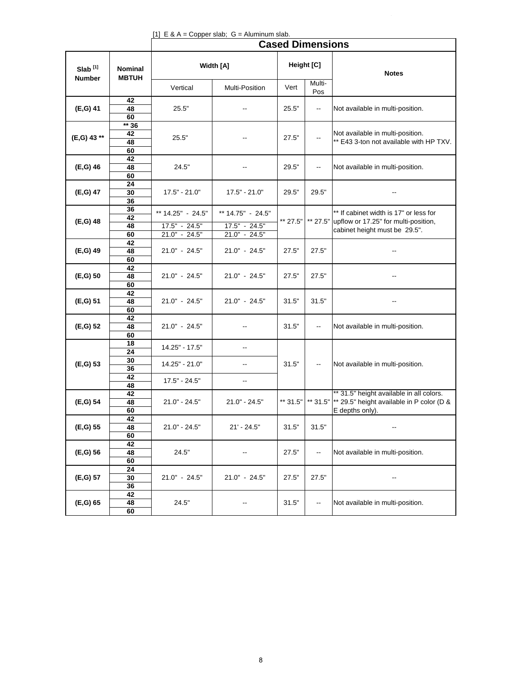|                                      |                                |                                    | [1] $E \& A = Copper slab$ ; $G = Aluminum slab$ . |                         |               |                                                                                                                    |
|--------------------------------------|--------------------------------|------------------------------------|----------------------------------------------------|-------------------------|---------------|--------------------------------------------------------------------------------------------------------------------|
|                                      |                                |                                    |                                                    | <b>Cased Dimensions</b> |               |                                                                                                                    |
| Slab <sup>[1]</sup><br><b>Number</b> | <b>Nominal</b><br><b>MBTUH</b> |                                    | Width [A]                                          |                         | Height [C]    | <b>Notes</b>                                                                                                       |
|                                      |                                | Vertical                           | Multi-Position                                     | Vert                    | Multi-<br>Pos |                                                                                                                    |
| (E,G) 41                             | 42<br>48<br>60                 | 25.5"                              |                                                    | 25.5"                   | ۰.            | Not available in multi-position.                                                                                   |
| (E,G) 43**                           | $** 36$<br>42<br>48<br>60      | 25.5"                              | --                                                 | 27.5"                   | ۰.            | Not available in multi-position.<br>** E43 3-ton not available with HP TXV.                                        |
| $(E,G)$ 46                           | 42<br>48<br>60                 | 24.5"                              |                                                    | 29.5"                   | ۰.            | Not available in multi-position.                                                                                   |
| (E,G) 47                             | 24<br>30<br>36                 | $17.5" - 21.0"$                    | $17.5" - 21.0"$                                    | 29.5"                   | 29.5"         |                                                                                                                    |
| (E,G) 48                             | 36<br>42<br>48                 | ** 14.25" - 24.5"<br>17.5" - 24.5" | ** 14.75" - 24.5"<br>17.5" - 24.5"                 | ** 27.5"                | ** 27.5"      | ** If cabinet width is 17" or less for<br>upflow or 17.25" for multi-position,                                     |
| (E,G) 49                             | 60<br>42<br>48                 | $21.0" - 24.5"$<br>21.0" - 24.5"   | $21.0" - 24.5"$<br>$21.0" - 24.5"$                 | 27.5"                   | 27.5"         | cabinet height must be 29.5".                                                                                      |
| $(E,G)$ 50                           | 60<br>42<br>48                 | $21.0" - 24.5"$                    | $21.0" - 24.5"$                                    | 27.5"                   | 27.5"         | --                                                                                                                 |
| (E,G) 51                             | 60<br>42<br>48                 | $21.0" - 24.5"$                    | 21.0" - 24.5"                                      | 31.5"                   | 31.5"         | --                                                                                                                 |
| (E,G) 52                             | 60<br>42<br>48                 | $21.0" - 24.5"$                    | $\overline{\phantom{a}}$                           | 31.5"                   | ۰.            | Not available in multi-position.                                                                                   |
|                                      | 60<br>18<br>24                 | 14.25" - 17.5"                     | $\overline{\phantom{a}}$                           |                         |               |                                                                                                                    |
| (E,G) 53                             | 30<br>36<br>42                 | 14.25" - 21.0"<br>17.5" - 24.5"    | --<br>--                                           | 31.5"                   | ۰.            | Not available in multi-position.                                                                                   |
| (E,G) 54                             | 48<br>42<br>48<br>60           | $21.0" - 24.5"$                    | $21.0" - 24.5"$                                    | ** 31.5"                |               | ** 31.5" height available in all colors.<br>** 31.5"  ** 29.5" height available in P color (D &<br>E depths only). |
| (E,G) 55                             | 42<br>48<br>60                 | $21.0" - 24.5"$                    | $21' - 24.5"$                                      | 31.5"                   | 31.5"         |                                                                                                                    |
| (E,G) 56                             | 42<br>48<br>60                 | 24.5"                              |                                                    | 27.5"                   | --            | Not available in multi-position.                                                                                   |
| (E,G) 57                             | $\overline{24}$<br>30<br>36    | 21.0" - 24.5"                      | $21.0" - 24.5"$                                    | 27.5"                   | 27.5"         |                                                                                                                    |
| (E,G) 65                             | 42<br>48<br>60                 | 24.5"                              |                                                    | 31.5"                   | --            | Not available in multi-position.                                                                                   |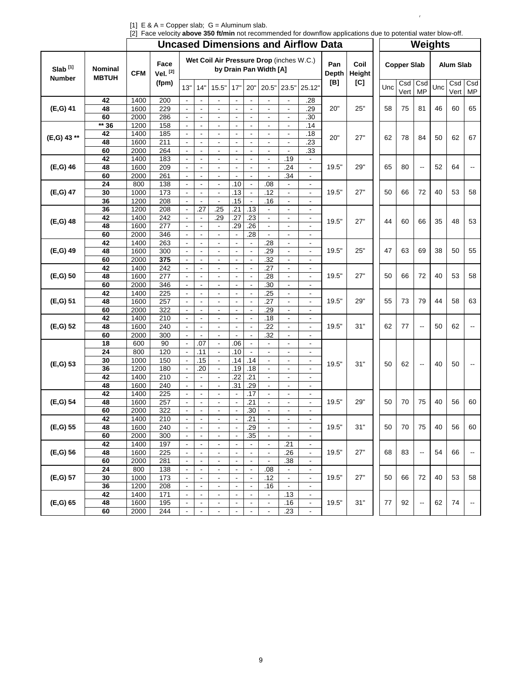|                     |                                |              |                  |                                  |                                  |                                            |                                            |                                  |                          |                                            | <b>Uncased Dimensions and Airflow Data</b> |                     |                |     |                    | <b>Weights</b>           |     |                  |                  |
|---------------------|--------------------------------|--------------|------------------|----------------------------------|----------------------------------|--------------------------------------------|--------------------------------------------|----------------------------------|--------------------------|--------------------------------------------|--------------------------------------------|---------------------|----------------|-----|--------------------|--------------------------|-----|------------------|------------------|
| Slab <sup>[1]</sup> | <b>Nominal</b><br><b>MBTUH</b> | <b>CFM</b>   | Face<br>Vel. [2] |                                  |                                  | Wet Coil Air Pressure Drop (inches W.C.)   |                                            |                                  | by Drain Pan Width [A]   |                                            |                                            | Pan<br><b>Depth</b> | Coil<br>Height |     | <b>Copper Slab</b> |                          |     | <b>Alum Slab</b> |                  |
| <b>Number</b>       |                                |              | (fpm)            | 13"                              | 14"                              | 15.5"                                      | 17"                                        | 20"                              | 20.5"                    | 23.5"                                      | 25.12"                                     | [B]                 | [C]            | Unc | Csd<br>Vert        | Csd<br><b>MP</b>         | Unc | Csd<br>Vert      | Csd<br><b>MP</b> |
|                     | 42                             | 1400         | 200              | $\blacksquare$                   | $\blacksquare$                   | $\blacksquare$                             | $\overline{\phantom{a}}$                   |                                  |                          | $\blacksquare$                             | .28                                        |                     |                |     |                    |                          |     |                  |                  |
| (E,G) 41            | 48                             | 1600         | 229              | $\blacksquare$                   | $\blacksquare$                   | $\blacksquare$                             | $\blacksquare$                             | $\blacksquare$                   | $\blacksquare$           | $\blacksquare$                             | .29                                        | 20"                 | 25"            | 58  | 75                 | 81                       | 46  | 60               | 65               |
|                     | 60                             | 2000         | 286              | $\blacksquare$                   | $\blacksquare$                   | $\blacksquare$                             | $\blacksquare$                             | $\blacksquare$                   | $\blacksquare$           | $\blacksquare$                             | $\overline{.30}$                           |                     |                |     |                    |                          |     |                  |                  |
|                     | $** 36$                        | 1200         | 158              | $\Box$                           | $\blacksquare$                   | $\blacksquare$                             | $\blacksquare$                             | $\blacksquare$                   | $\blacksquare$           | $\blacksquare$                             | .14                                        |                     |                |     |                    |                          |     |                  |                  |
| (E,G) 43**          | 42                             | 1400         | 185              | $\blacksquare$                   | $\blacksquare$                   | $\overline{\phantom{a}}$                   | $\overline{\phantom{a}}$                   | $\blacksquare$                   | $\blacksquare$           | $\blacksquare$                             | .18                                        | 20"                 | 27"            | 62  | 78                 | 84                       | 50  | 62               | 67               |
|                     | 48                             | 1600         | 211              | $\omega$                         | $\Box$                           | $\blacksquare$                             | $\blacksquare$                             | $\omega$                         | $\blacksquare$           | $\blacksquare$                             | $\overline{.23}$                           |                     |                |     |                    |                          |     |                  |                  |
|                     | 60                             | 2000         | 264              | $\blacksquare$                   |                                  | $\blacksquare$                             | $\blacksquare$                             |                                  | $\blacksquare$           | ÷,                                         | .33                                        |                     |                |     |                    |                          |     |                  |                  |
|                     | 42                             | 1400         | 183              |                                  | $\blacksquare$                   | $\overline{\phantom{a}}$                   | $\blacksquare$                             |                                  |                          | .19                                        | $\overline{\phantom{a}}$                   |                     |                |     |                    |                          |     |                  |                  |
| (E,G) 46            | 48                             | 1600         | 209              | $\omega$                         | $\overline{\phantom{a}}$         | $\Box$                                     | $\mathbb{Z}^2$                             | $\omega$                         | $\blacksquare$           | .24                                        | ä,                                         | 19.5"               | 29"            | 65  | 80                 | ۰.                       | 52  | 64               |                  |
|                     | 60                             | 2000         | 261              | $\blacksquare$                   | $\blacksquare$                   | $\blacksquare$                             | $\blacksquare$                             | $\blacksquare$                   | $\blacksquare$           | .34                                        | $\blacksquare$                             |                     |                |     |                    |                          |     |                  |                  |
|                     | $\overline{24}$                | 800          | 138              |                                  | $\blacksquare$                   | $\blacksquare$                             | .10                                        | $\blacksquare$                   | .08                      | $\overline{a}$                             | $\blacksquare$                             |                     |                |     |                    |                          |     |                  |                  |
| (E,G) 47            | 30                             | 1000         | 173              | $\Box$                           | $\blacksquare$                   | $\blacksquare$                             | .13                                        | $\blacksquare$                   | .12                      | $\blacksquare$                             | $\blacksquare$                             | 19.5"               | 27"            | 50  | 66                 | 72                       | 40  | 53               | 58               |
|                     | 36                             | 1200         | 208              | $\blacksquare$                   | $\blacksquare$                   | $\blacksquare$                             | .15                                        | $\blacksquare$                   | .16                      | $\blacksquare$                             | $\blacksquare$                             |                     |                |     |                    |                          |     |                  |                  |
|                     | 36                             | 1200         | 208              | $\blacksquare$                   | .27                              | .25                                        | .21                                        | .13                              |                          | $\overline{\phantom{a}}$                   | $\overline{\phantom{a}}$                   |                     |                |     |                    |                          |     |                  |                  |
| (E,G) 48            | 42                             | 1400         | 242              | $\blacksquare$                   | $\blacksquare$                   | .29                                        | .27                                        | .23                              | $\blacksquare$           | $\overline{\phantom{a}}$                   | $\overline{\phantom{a}}$                   | 19.5"               | 27"            | 44  | 60                 | 66                       | 35  | 48               | 53               |
|                     | 48                             | 1600         | 277              | $\blacksquare$                   | $\blacksquare$                   | $\blacksquare$                             | .29                                        | .26                              | $\blacksquare$           | $\blacksquare$                             | $\overline{\phantom{a}}$                   |                     |                |     |                    |                          |     |                  |                  |
|                     | 60                             | 2000         | 346              | $\blacksquare$                   | $\blacksquare$                   | $\blacksquare$                             | $\blacksquare$                             | .28                              | $\blacksquare$           | $\blacksquare$                             | $\blacksquare$                             |                     |                |     |                    |                          |     |                  |                  |
|                     | 42                             | 1400         | 263              | $\blacksquare$                   | $\blacksquare$                   | $\blacksquare$                             | $\blacksquare$                             | $\Box$                           | .28                      | $\blacksquare$                             | $\blacksquare$                             | 19.5"               | 25"            |     | 63                 |                          | 38  | 50               | 55               |
| (E,G) 49            | 48                             | 1600         | 300              | $\blacksquare$                   | $\blacksquare$                   | $\blacksquare$                             | $\blacksquare$                             | $\blacksquare$                   | .29                      | $\blacksquare$                             | $\blacksquare$                             |                     |                | 47  |                    | 69                       |     |                  |                  |
|                     | 60                             | 2000         | 375              | $\blacksquare$                   | $\blacksquare$                   | $\blacksquare$                             | $\blacksquare$                             | $\omega$                         | .32                      | $\blacksquare$                             | $\blacksquare$                             |                     |                |     |                    |                          |     |                  |                  |
| $(E.G)$ 50          | 42<br>48                       | 1400<br>1600 | 242<br>277       | $\blacksquare$                   | $\blacksquare$                   | $\blacksquare$                             | $\blacksquare$                             | $\blacksquare$                   | .27<br>.28               | $\blacksquare$                             | $\blacksquare$                             | 19.5"               | 27"            | 50  | 66                 | 72                       | 40  | 53               | 58               |
|                     | 60                             | 2000         | 346              | $\blacksquare$<br>$\blacksquare$ | $\blacksquare$<br>$\blacksquare$ | $\overline{\phantom{a}}$                   | $\overline{\phantom{a}}$<br>$\blacksquare$ | $\blacksquare$<br>$\blacksquare$ | .30                      | $\blacksquare$<br>$\overline{\phantom{a}}$ | $\overline{\phantom{a}}$                   |                     |                |     |                    |                          |     |                  |                  |
|                     | 42                             | 1400         | 225              | $\blacksquare$                   | $\blacksquare$                   | $\overline{\phantom{a}}$<br>$\blacksquare$ | $\blacksquare$                             | $\blacksquare$                   | .25                      | $\blacksquare$                             | $\blacksquare$<br>$\blacksquare$           |                     |                |     |                    |                          |     |                  |                  |
| (E,G) 51            | 48                             | 1600         | 257              | $\blacksquare$                   | $\blacksquare$                   | $\blacksquare$                             | $\blacksquare$                             |                                  | .27                      | $\blacksquare$                             | ÷,                                         | 19.5"               | 29"            | 55  | 73                 | 79                       | 44  | 58               | 63               |
|                     | 60                             | 2000         | 322              | $\blacksquare$                   | $\blacksquare$                   | $\blacksquare$                             | $\blacksquare$                             | $\blacksquare$                   | .29                      | $\blacksquare$                             | $\overline{\phantom{a}}$                   |                     |                |     |                    |                          |     |                  |                  |
|                     | 42                             | 1400         | 210              | $\blacksquare$                   | $\blacksquare$                   | $\blacksquare$                             | $\blacksquare$                             | $\blacksquare$                   | .18                      | $\blacksquare$                             | $\blacksquare$                             |                     |                |     |                    |                          |     |                  |                  |
| (E,G) 52            | 48                             | 1600         | 240              | $\blacksquare$                   | $\blacksquare$                   | $\blacksquare$                             | $\blacksquare$                             | $\blacksquare$                   | .22                      | $\blacksquare$                             | $\blacksquare$                             | 19.5"               | 31"            | 62  | 77                 | $\overline{\phantom{a}}$ | 50  | 62               |                  |
|                     | 60                             | 2000         | 300              | $\Box$                           | $\blacksquare$                   | $\blacksquare$                             | $\blacksquare$                             | $\blacksquare$                   | .32                      | ÷,                                         | $\overline{\phantom{a}}$                   |                     |                |     |                    |                          |     |                  |                  |
|                     | 18                             | 600          | 90               | $\blacksquare$                   | .07                              | $\blacksquare$                             | .06                                        | $\blacksquare$                   |                          | $\blacksquare$                             | $\blacksquare$                             |                     |                |     |                    |                          |     |                  |                  |
|                     | 24                             | 800          | 120              | $\omega$                         | .11                              | $\Box$                                     | .10                                        | $\omega$                         | $\blacksquare$           | $\blacksquare$                             | ÷.                                         |                     |                |     |                    |                          |     |                  |                  |
|                     | 30                             | 1000         | 150              |                                  | .15                              | $\blacksquare$                             | .14                                        | .14                              | $\blacksquare$           | $\blacksquare$                             | $\overline{\phantom{0}}$                   |                     |                |     |                    |                          |     |                  |                  |
| (E,G) 53            | 36                             | 1200         | 180              | $\blacksquare$                   | .20                              | $\blacksquare$                             | .19                                        | .18                              |                          | $\blacksquare$                             | $\blacksquare$                             | 19.5"               | 31"            | 50  | 62                 | $\overline{\phantom{a}}$ | 40  | 50               |                  |
|                     | 42                             | 1400         | 210              | $\blacksquare$                   | $\omega$                         | $\blacksquare$                             | .22                                        | .21                              | $\blacksquare$           | $\blacksquare$                             | $\blacksquare$                             |                     |                |     |                    |                          |     |                  |                  |
|                     | 48                             | 1600         | 240              | $\blacksquare$                   | $\blacksquare$                   | $\blacksquare$                             | .31                                        | .29                              |                          | $\blacksquare$                             | $\overline{\phantom{a}}$                   |                     |                |     |                    |                          |     |                  |                  |
|                     | 42                             | 1400         | 225              | $\blacksquare$                   | $\overline{\phantom{a}}$         | $\overline{\phantom{a}}$                   |                                            | .17                              | $\blacksquare$           | $\blacksquare$                             | $\overline{\phantom{a}}$                   |                     |                |     |                    |                          |     |                  |                  |
| (E,G) 54            | 48                             | 1600         | 257              | $\blacksquare$                   | $\blacksquare$                   | $\blacksquare$                             | $\blacksquare$                             | .21                              | $\blacksquare$           | $\overline{\phantom{a}}$                   | $\overline{\phantom{a}}$                   | 19.5"               | 29"            | 50  | 70                 | 75                       | 40  | 56               | 60               |
|                     | 60                             | 2000         | 322              | $\blacksquare$                   | $\blacksquare$                   | $\overline{\phantom{a}}$                   | $\blacksquare$                             | $\overline{30}$                  | $\blacksquare$           | $\overline{\phantom{a}}$                   | $\overline{\phantom{a}}$                   |                     |                |     |                    |                          |     |                  |                  |
|                     | 42                             | 1400         | 210              |                                  |                                  |                                            |                                            | .21                              |                          |                                            |                                            |                     |                |     |                    |                          |     |                  |                  |
| (E,G) 55            | 48                             | 1600         | 240              | $\overline{\phantom{a}}$         | $\blacksquare$                   | $\overline{\phantom{a}}$                   | $\overline{\phantom{a}}$                   | .29                              | $\blacksquare$           | $\overline{\phantom{a}}$                   | $\overline{\phantom{a}}$                   | 19.5"               | 31"            | 50  | 70                 | 75                       | 40  | 56               | 60               |
|                     | 60                             | 2000         | 300              | $\blacksquare$                   | $\blacksquare$                   | $\blacksquare$                             | $\overline{\phantom{a}}$                   | .35                              |                          | $\blacksquare$                             | $\blacksquare$                             |                     |                |     |                    |                          |     |                  |                  |
|                     | 42                             | 1400         | 197              | $\blacksquare$                   | $\overline{\phantom{a}}$         | $\overline{\phantom{a}}$                   | $\overline{\phantom{a}}$                   | $\blacksquare$                   | $\blacksquare$           | .21                                        | $\blacksquare$                             |                     |                |     |                    |                          |     |                  |                  |
| (E,G) 56            | 48                             | 1600         | 225              | $\blacksquare$                   | $\overline{\phantom{a}}$         | $\overline{\phantom{a}}$                   | $\overline{\phantom{a}}$                   | $\overline{\phantom{a}}$         | $\overline{\phantom{a}}$ | .26                                        | $\overline{\phantom{0}}$                   | 19.5"               | 27"            | 68  | 83                 | $\overline{\phantom{a}}$ | 54  | 66               | --               |
|                     | 60                             | 2000         | 281              | $\overline{\phantom{a}}$         |                                  | $\blacksquare$                             | $\overline{\phantom{a}}$                   |                                  |                          | .38                                        | $\overline{\phantom{a}}$                   |                     |                |     |                    |                          |     |                  |                  |
|                     | 24                             | 800          | 138              | $\blacksquare$                   | $\blacksquare$                   | $\overline{\phantom{a}}$                   | $\overline{\phantom{a}}$                   | $\blacksquare$                   | .08                      | $\blacksquare$                             | $\blacksquare$                             |                     |                |     |                    |                          |     |                  |                  |
| (E,G) 57            | 30                             | 1000         | 173              | $\blacksquare$                   | $\overline{\phantom{a}}$         | $\blacksquare$                             | $\overline{\phantom{a}}$                   | $\overline{\phantom{a}}$         | .12                      | $\blacksquare$                             | $\blacksquare$                             | 19.5"               | 27"            | 50  | 66                 | 72                       | 40  | 53               | 58               |
|                     | 36                             | 1200         | 208              | $\blacksquare$                   |                                  | $\blacksquare$                             |                                            | $\blacksquare$                   | .16                      | $\blacksquare$                             | $\blacksquare$                             |                     |                |     |                    |                          |     |                  |                  |
|                     | 42                             | 1400         | 171              | $\blacksquare$                   | $\overline{\phantom{a}}$         | $\overline{\phantom{a}}$                   | $\blacksquare$                             | $\blacksquare$                   | $\blacksquare$           | .13                                        | $\blacksquare$                             |                     |                |     |                    |                          |     |                  |                  |
| (E,G) 65            | 48                             | 1600         | 195              | $\blacksquare$                   | $\blacksquare$                   | $\blacksquare$                             | $\blacksquare$                             | $\blacksquare$                   | $\blacksquare$           | .16                                        | $\blacksquare$                             | 19.5"               | 31"            | 77  | 92                 | ۰.                       | 62  | 74               |                  |
|                     | 60                             | 2000         | 244              | $\blacksquare$                   | $\overline{\phantom{a}}$         | $\overline{\phantom{a}}$                   | $\blacksquare$                             | $\overline{\phantom{a}}$         | $\blacksquare$           | .23                                        | $\blacksquare$                             |                     |                |     |                    |                          |     |                  |                  |

[1] E & A = Copper slab; G = Aluminum slab. [2] Face velocity **above 350 ft/min** not recommended for downflow applications due to potential water blow-off.

 $\bar{I}$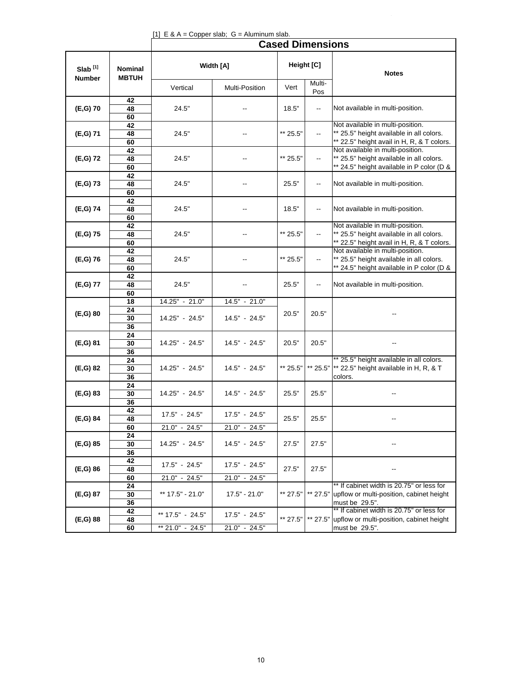| [1] E & A = Copper slab; $G =$ Aluminum slab. |
|-----------------------------------------------|
|-----------------------------------------------|

|                                      |                                | <b>Cased Dimensions</b>              |                                  |          |                          |                                                                                                                            |  |  |  |  |  |  |
|--------------------------------------|--------------------------------|--------------------------------------|----------------------------------|----------|--------------------------|----------------------------------------------------------------------------------------------------------------------------|--|--|--|--|--|--|
| Slab <sup>[1]</sup><br><b>Number</b> | <b>Nominal</b><br><b>MBTUH</b> |                                      | Width [A]                        |          | Height [C]               | <b>Notes</b>                                                                                                               |  |  |  |  |  |  |
|                                      |                                | Vertical                             | Multi-Position                   | Vert     | Multi-<br>Pos            |                                                                                                                            |  |  |  |  |  |  |
| $(E,G)$ 70                           | 42<br>48<br>60                 | 24.5"                                |                                  | 18.5"    | --                       | Not available in multi-position.                                                                                           |  |  |  |  |  |  |
| (E,G) 71                             | 42<br>48<br>60                 | 24.5"                                |                                  | ** 25.5" | ۰.                       | Not available in multi-position.<br>** 25.5" height available in all colors.<br>** 22.5" height avail in H, R, & T colors. |  |  |  |  |  |  |
| (E,G) 72                             | 42<br>48<br>60                 | 24.5"                                |                                  | ** 25.5" | ۰.                       | Not available in multi-position.<br>** 25.5" height available in all colors.<br>** 24.5" height available in P color (D &  |  |  |  |  |  |  |
| (E,G) 73                             | 42<br>48<br>60                 | 24.5"                                |                                  | 25.5"    | ۰.                       | Not available in multi-position.                                                                                           |  |  |  |  |  |  |
| (E,G) 74                             | 42<br>48<br>60                 | 24.5"                                |                                  | 18.5"    | $\overline{\phantom{a}}$ | Not available in multi-position.                                                                                           |  |  |  |  |  |  |
| (E,G) 75                             | 42<br>48<br>60                 | 24.5"                                |                                  | ** 25.5" | --                       | Not available in multi-position.<br>** 25.5" height available in all colors.<br>** 22.5" height avail in H, R, & T colors. |  |  |  |  |  |  |
| $(E,G)$ 76                           | 42<br>48<br>60                 | 24.5"                                |                                  | ** 25.5" | --                       | Not available in multi-position.<br>** 25.5" height available in all colors.<br>** 24.5" height available in P color (D &  |  |  |  |  |  |  |
| (E,G) 77                             | 42<br>48<br>60                 | 24.5"                                |                                  | 25.5"    | $\overline{\phantom{a}}$ | Not available in multi-position.                                                                                           |  |  |  |  |  |  |
| (E, G) 80                            | 18<br>24<br>30                 | 14.25" - 21.0"<br>14.25" - 24.5"     | 14.5" - 21.0"<br>14.5" - 24.5"   | 20.5"    | 20.5"                    |                                                                                                                            |  |  |  |  |  |  |
| (E,G) 81                             | 36<br>24<br>30<br>36           | 14.25" - 24.5"                       | 14.5" - 24.5"                    | 20.5"    | 20.5"                    |                                                                                                                            |  |  |  |  |  |  |
| (E,G) 82                             | 24<br>30<br>36                 | 14.25" - 24.5"                       | 14.5" - 24.5"                    | ** 25.5" |                          | ** 25.5" height available in all colors.<br>** 25.5"  ** 22.5" height available in H, R, & T<br>colors.                    |  |  |  |  |  |  |
| (E,G) 83                             | 24<br>30<br>36                 | 14.25" - 24.5"                       | 14.5" - 24.5"                    | 25.5"    | 25.5"                    |                                                                                                                            |  |  |  |  |  |  |
| (E,G) 84                             | 42<br>48<br>60                 | $17.5" - 24.5"$<br>21.0" - 24.5"     | 17.5" - 24.5"<br>$21.0" - 24.5"$ | 25.5"    | 25.5"                    |                                                                                                                            |  |  |  |  |  |  |
| (E,G) 85                             | 24<br>30<br>36                 | 14.25" - 24.5"                       | 14.5" - 24.5"                    | 27.5"    | 27.5"                    |                                                                                                                            |  |  |  |  |  |  |
| $(E,G)$ 86                           | 42<br>48<br>60                 | $17.5" - 24.5"$<br>$21.0" - 24.5"$   | 17.5" - 24.5"<br>21.0" - 24.5"   | 27.5"    | 27.5"                    | --                                                                                                                         |  |  |  |  |  |  |
| (E,G) 87                             | 24<br>30<br>36                 | ** 17.5" - 21.0"                     | $17.5" - 21.0"$                  | ** 27.5" | ** 27.5"                 | ** If cabinet width is 20.75" or less for<br>upflow or multi-position, cabinet height<br>must be 29.5".                    |  |  |  |  |  |  |
| (E,G) 88                             | 42<br>48<br>60                 | ** 17.5" - 24.5"<br>** 21.0" - 24.5" | 17.5" - 24.5"<br>$21.0" - 24.5"$ | ** 27.5" | ** 27.5"                 | ** If cabinet width is 20.75" or less for<br>upflow or multi-position, cabinet height<br>must be 29.5".                    |  |  |  |  |  |  |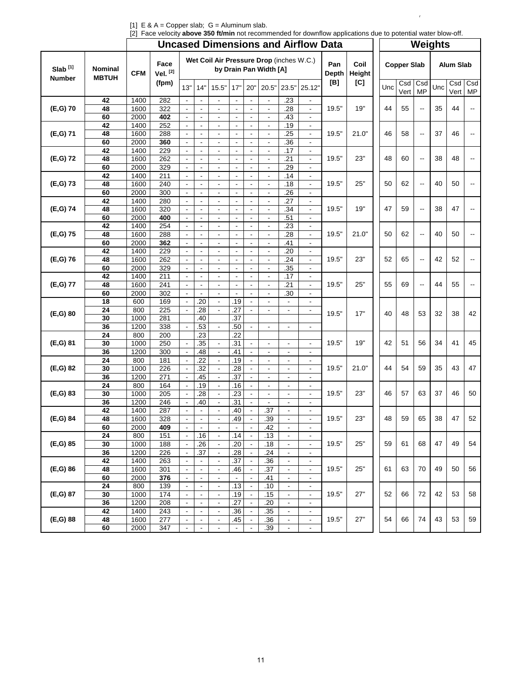|                                      |                                | <b>Uncased Dimensions and Airflow Data</b> |                       |                |                                                                    |                          |                                            |                          |                          | <b>Weights</b>           |                              |              |                |                    |     |             |                  |     |             |                          |
|--------------------------------------|--------------------------------|--------------------------------------------|-----------------------|----------------|--------------------------------------------------------------------|--------------------------|--------------------------------------------|--------------------------|--------------------------|--------------------------|------------------------------|--------------|----------------|--------------------|-----|-------------|------------------|-----|-------------|--------------------------|
| Slab <sup>[1]</sup><br><b>Number</b> | <b>Nominal</b><br><b>MBTUH</b> | <b>CFM</b>                                 | Face<br>Vel. $^{[2]}$ |                | Wet Coil Air Pressure Drop (inches W.C.)<br>by Drain Pan Width [A] |                          |                                            |                          |                          |                          |                              | Pan<br>Depth | Coil<br>Height | <b>Copper Slab</b> |     |             | <b>Alum Slab</b> |     |             |                          |
|                                      |                                |                                            | (fpm)                 | 13"            | 14"                                                                | 15.5"                    | 17"                                        | 20"                      | 20.5"                    | 23.5"                    | 25.12'                       | [B]          | [C]            |                    | Unc | Csd<br>Vert | Csd<br>MP        | Unc | Csd<br>Vert | Csd<br><b>MP</b>         |
|                                      | 42                             | 1400                                       | 282                   | $\blacksquare$ | $\blacksquare$                                                     | $\overline{\phantom{a}}$ | $\blacksquare$                             | $\blacksquare$           | $\blacksquare$           | .23                      | ٠                            |              | 19"            |                    |     |             |                  |     |             |                          |
| $(E,G)$ 70                           | 48                             | 1600                                       | 322                   | $\blacksquare$ | $\overline{\phantom{a}}$                                           | $\overline{\phantom{a}}$ | $\overline{\phantom{a}}$                   |                          | $\blacksquare$           | .28                      | $\blacksquare$               | 19.5"        |                |                    | 44  | 55          | --               | 35  | 44          |                          |
|                                      | 60                             | 2000                                       | 402                   | $\blacksquare$ | ÷,                                                                 | $\blacksquare$           | ÷,                                         | $\blacksquare$           | $\blacksquare$           | .43                      | $\blacksquare$               |              |                |                    |     |             |                  |     |             |                          |
|                                      | 42                             | 1400                                       | 252                   | $\blacksquare$ |                                                                    |                          | $\blacksquare$                             |                          |                          | .19                      | $\overline{\phantom{a}}$     |              |                |                    |     |             |                  |     |             |                          |
| (E,G) 71                             | 48                             | 1600                                       | 288                   |                | $\overline{\phantom{a}}$                                           | $\overline{\phantom{a}}$ | $\overline{\phantom{a}}$                   |                          | $\blacksquare$           | .25                      | $\blacksquare$               | 19.5"        | 21.0"          |                    | 46  | 58          | ۰.               | 37  | 46          |                          |
|                                      | 60                             | 2000                                       | 360                   | $\blacksquare$ | $\blacksquare$                                                     | $\overline{\phantom{a}}$ | $\blacksquare$                             | $\blacksquare$           | $\blacksquare$           | .36                      | $\blacksquare$               |              |                |                    |     |             |                  |     |             |                          |
|                                      | 42                             | 1400                                       | 229                   | $\blacksquare$ | $\blacksquare$                                                     |                          | $\blacksquare$                             |                          |                          | .17                      | $\overline{\phantom{a}}$     |              |                |                    |     |             |                  |     |             |                          |
| (E,G) 72                             | 48                             | 1600                                       | 262                   |                |                                                                    | $\blacksquare$           |                                            |                          | $\overline{a}$           | .21                      | $\qquad \qquad \blacksquare$ | 19.5"        | 23"            |                    | 48  | 60          | --               | 38  | 48          |                          |
|                                      | 60                             | 2000                                       | 329                   | $\Box$         | $\blacksquare$                                                     | $\blacksquare$           | $\blacksquare$                             | $\blacksquare$           | $\blacksquare$           | .29                      | $\blacksquare$               |              |                |                    |     |             |                  |     |             |                          |
|                                      | 42                             | 1400                                       | 211                   | $\blacksquare$ | $\blacksquare$                                                     | $\blacksquare$           | $\overline{\phantom{a}}$                   | $\blacksquare$           | $\overline{\phantom{a}}$ | .14                      | $\blacksquare$               |              |                |                    |     |             |                  |     |             |                          |
| (E,G) 73                             | 48                             | 1600                                       | 240                   | $\blacksquare$ | $\overline{\phantom{a}}$                                           | $\overline{\phantom{a}}$ | $\overline{\phantom{a}}$                   | $\blacksquare$           | $\blacksquare$           | .18                      | $\blacksquare$               | 19.5"        | 25"            |                    | 50  | 62          | --               | 40  | 50          |                          |
|                                      | 60                             | 2000                                       | 300                   | $\blacksquare$ | $\blacksquare$                                                     | $\blacksquare$           | ÷,                                         | $\blacksquare$           | $\blacksquare$           | .26                      | $\blacksquare$               |              |                |                    |     |             |                  |     |             |                          |
|                                      | 42                             | 1400                                       | 280                   | $\blacksquare$ | $\blacksquare$                                                     | $\blacksquare$           | $\blacksquare$                             | $\blacksquare$           | $\overline{a}$           | .27                      | $\overline{\phantom{a}}$     | 19.5"        |                |                    |     |             |                  |     |             |                          |
| (E,G) 74                             | 48                             | 1600                                       | 320                   | $\blacksquare$ | $\blacksquare$                                                     | $\blacksquare$           | $\blacksquare$                             | $\blacksquare$           | $\blacksquare$           | .34                      | $\blacksquare$               |              | 19"            | 47                 | 59  | --          | 38               | 47  |             |                          |
|                                      | 60                             | 2000                                       | 400                   | $\blacksquare$ |                                                                    |                          | $\overline{a}$                             |                          | $\blacksquare$           | .51                      | $\blacksquare$               |              |                |                    |     |             |                  |     |             |                          |
| (E,G) 75                             | 42                             | 1400                                       | 254                   | ä,             | $\blacksquare$                                                     |                          | $\overline{\phantom{a}}$<br>$\blacksquare$ |                          |                          | .23                      | $\overline{\phantom{a}}$     | 19.5"        |                | 50                 |     |             | --               | 40  | 50          | $\overline{\phantom{a}}$ |
|                                      | 48                             | 1600                                       | 288                   |                |                                                                    | $\blacksquare$           |                                            | $\blacksquare$           | $\blacksquare$           | .28                      | $\omega$                     |              | 21.0"          |                    | 62  |             |                  |     |             |                          |
|                                      | 60<br>42                       | 2000                                       | 362<br>229            |                |                                                                    |                          |                                            |                          |                          | .41<br>.20               | $\overline{\phantom{a}}$     |              |                |                    |     |             |                  |     |             |                          |
| $(E,G)$ 76                           | 48                             | 1400                                       | 262                   | ä,             | $\overline{a}$                                                     | $\overline{\phantom{a}}$ | $\overline{a}$                             | $\Box$                   | $\blacksquare$           | .24                      | -<br>$\blacksquare$          | 19.5"        | 23"            | 52                 | 65  | --          | 42               | 52  |             |                          |
|                                      |                                | 1600                                       |                       | $\blacksquare$ |                                                                    | $\blacksquare$           |                                            |                          |                          | $\overline{.35}$         |                              |              |                |                    |     |             |                  |     |             |                          |
|                                      | 60<br>42                       | 2000<br>1400                               | 329<br>211            |                | ÷,                                                                 | $\blacksquare$           | ÷,                                         | $\overline{\phantom{a}}$ | $\blacksquare$           | .17                      | $\overline{\phantom{a}}$     |              |                |                    |     |             |                  |     |             |                          |
| (E,G) 77                             | 48                             | 1600                                       | 241                   | $\Box$         | $\blacksquare$                                                     | $\blacksquare$           | $\blacksquare$                             | $\blacksquare$           | $\blacksquare$           | $\overline{.21}$         | $\blacksquare$<br>÷,         | 19.5"        | 25"            |                    | 55  | 69          | --               | 44  | 55          | $\overline{\phantom{a}}$ |
|                                      | 60                             | 2000                                       | 302                   | $\blacksquare$ | $\blacksquare$                                                     | $\blacksquare$           | $\blacksquare$                             | $\blacksquare$           | $\blacksquare$           | .30                      | $\blacksquare$               |              |                |                    |     |             |                  |     |             |                          |
| (E, G) 80                            | 18                             | 600                                        | 169                   | $\Box$         | .20                                                                | $\blacksquare$           | .19                                        |                          | $\blacksquare$           | $\blacksquare$           | $\blacksquare$               |              |                | 40                 | 48  | 53          | 32               |     | 42          |                          |
|                                      | 24                             | 800                                        | 225                   | $\blacksquare$ | .28                                                                | $\blacksquare$           | .27                                        | $\blacksquare$           | $\blacksquare$           | $\blacksquare$           | $\overline{\phantom{a}}$     |              | 17"            |                    |     |             |                  | 38  |             |                          |
|                                      | 30                             | 1000                                       | 281                   |                | .40                                                                |                          | .37                                        |                          |                          |                          |                              | 19.5"        |                |                    |     |             |                  |     |             |                          |
|                                      | 36                             | 1200                                       | 338                   | $\Box$         | .53                                                                | $\mathbb{Z}^2$           | .50                                        | $\blacksquare$           | $\blacksquare$           | L.                       | $\blacksquare$               |              |                |                    |     |             |                  |     |             |                          |
|                                      | 24                             | 800                                        | 200                   |                | .23                                                                |                          | .22                                        |                          |                          |                          |                              | 19.5"        | 19"<br>21.0"   |                    |     |             |                  |     |             | 45                       |
| (E,G) 81                             | 30                             | 1000                                       | 250                   |                | .35                                                                | $\overline{\phantom{a}}$ | .31                                        |                          |                          | $\blacksquare$           | $\frac{1}{2}$                |              |                | 42<br>44           |     | 51          | 56               | 34  | 41          |                          |
|                                      | 36                             | 1200                                       | 300                   | $\omega$       | .48                                                                | $\blacksquare$           | .41                                        | $\blacksquare$           | $\blacksquare$           | $\blacksquare$           | $\blacksquare$               |              |                |                    |     |             |                  |     |             |                          |
|                                      | 24                             | 800                                        | 181                   |                | .22                                                                | $\overline{\phantom{a}}$ | .19                                        |                          |                          | $\blacksquare$           | $\overline{\phantom{a}}$     |              |                |                    |     |             |                  |     |             |                          |
| (E,G) 82                             | 30                             | 1000                                       | 226                   |                | .32                                                                | $\blacksquare$           | .28                                        |                          |                          | $\overline{\phantom{a}}$ | $\blacksquare$               | 19.5"        |                |                    | 54  | 59          | 35               | 43  | 47          |                          |
|                                      | 36                             | 1200                                       | 271                   | $\Box$         | .45                                                                | $\blacksquare$           | .37                                        | $\blacksquare$           | $\blacksquare$           | $\blacksquare$           | $\blacksquare$               |              |                |                    |     |             |                  |     |             |                          |
|                                      | 24                             | 800                                        | 164                   | $\blacksquare$ | .19                                                                | $\blacksquare$           | .16                                        | $\blacksquare$           | $\overline{\phantom{a}}$ | $\overline{\phantom{a}}$ | $\overline{\phantom{a}}$     |              | 23"            |                    |     |             |                  |     |             | 50                       |
| (E,G) 83                             | 30                             | 1000                                       | 205                   |                | .28                                                                | $\blacksquare$           | .23                                        |                          | $\blacksquare$           | $\blacksquare$           | $\blacksquare$               | 19.5"        |                |                    | 46  | 57          | 63               | 37  | 46          |                          |
|                                      | 36                             | 1200                                       | 246                   | $\blacksquare$ | .40                                                                | $\blacksquare$           | .31                                        | $\blacksquare$           |                          | $\overline{\phantom{a}}$ | $\overline{\phantom{a}}$     |              |                |                    |     |             |                  |     |             |                          |
|                                      | 42                             | 1400                                       | 287                   | $\blacksquare$ | $\overline{\phantom{a}}$                                           | $\blacksquare$           | .40                                        | $\blacksquare$           | .37                      | $\overline{\phantom{a}}$ | $\blacksquare$               |              | 23"            |                    |     |             |                  |     |             |                          |
| (E,G) 84                             | 48                             | 1600                                       | 328                   |                |                                                                    |                          | .49                                        |                          | .39                      |                          |                              | 19.5"        |                |                    | 48  | 59          | 65               | 38  | 47          | 52                       |
|                                      | 60                             | 2000                                       | 409                   | $\blacksquare$ |                                                                    |                          |                                            | $\blacksquare$           | .42                      | $\overline{\phantom{a}}$ | ٠                            |              |                |                    |     |             |                  |     |             |                          |
|                                      | 24                             | 800                                        | 151                   |                | .16                                                                | $\overline{\phantom{a}}$ | .14                                        |                          | .13                      | $\overline{\phantom{a}}$ | $\overline{\phantom{a}}$     |              |                |                    |     |             |                  |     |             |                          |
| (E,G) 85                             | 30                             | 1000                                       | 188                   | $\omega$       | .26                                                                | $\blacksquare$           | .20                                        | $\blacksquare$           | .18                      | $\blacksquare$           | $\blacksquare$               | 19.5"        | 25"            | 59                 | 61  | 68          | 47               | 49  | 54          |                          |
|                                      | 36                             | 1200                                       | 226                   |                | .37                                                                | $\blacksquare$           | .28                                        |                          | .24                      | $\blacksquare$           | ۰                            |              |                |                    |     |             |                  |     |             |                          |
|                                      | 42                             | 1400                                       | 263                   | $\blacksquare$ | $\overline{\phantom{a}}$                                           | $\overline{\phantom{a}}$ | .37                                        |                          | .36                      | $\blacksquare$           | $\overline{\phantom{a}}$     |              |                |                    |     |             |                  |     |             |                          |
| $(E,G)$ 86                           | 48                             | 1600                                       | 301                   | $\blacksquare$ | $\blacksquare$                                                     | $\blacksquare$           | .46                                        | $\blacksquare$           | .37                      | $\blacksquare$           | $\blacksquare$               | 19.5"        | 25"            |                    | 61  | 63          | 70               | 49  | 50          | 56                       |
|                                      | 60                             | 2000                                       | 376                   | $\blacksquare$ |                                                                    | $\overline{\phantom{a}}$ |                                            |                          | .41                      | $\blacksquare$           | $\overline{\phantom{a}}$     |              |                |                    |     |             |                  |     |             |                          |
|                                      | 24                             | 800                                        | 139                   | $\blacksquare$ | $\blacksquare$                                                     | $\blacksquare$           | .13                                        |                          | .10                      | $\blacksquare$           | $\blacksquare$               |              | 27"            | 52                 |     |             |                  |     |             |                          |
| (E,G) 87                             | 30                             | 1000                                       | 174                   | $\blacksquare$ | $\overline{\phantom{a}}$                                           | $\overline{\phantom{a}}$ | .19                                        | $\blacksquare$           | .15                      | $\blacksquare$           | $\blacksquare$               | 19.5"        |                |                    | 66  | 72          | 42               | 53  | 58          |                          |
|                                      | 36                             | 1200                                       | 208                   | $\blacksquare$ |                                                                    | $\overline{\phantom{a}}$ | .27                                        |                          | .20                      | $\blacksquare$           | $\overline{\phantom{a}}$     |              |                |                    |     |             |                  |     |             |                          |
|                                      | 42                             | 1400                                       | 243                   | $\blacksquare$ | $\blacksquare$                                                     | $\blacksquare$           | .36                                        | $\blacksquare$           | .35                      | $\blacksquare$           | $\overline{\phantom{a}}$     |              |                |                    |     | 66          |                  |     |             |                          |
| (E,G) 88                             | 48                             | 1600                                       | 277                   | $\blacksquare$ | $\overline{\phantom{a}}$                                           | $\overline{\phantom{a}}$ | .45                                        | $\blacksquare$           | .36                      | $\blacksquare$           | $\blacksquare$               | 19.5"        | 27"            | 54                 |     |             | 74               | 43  | 53          | 59                       |
|                                      | 60                             | 2000                                       | 347                   | $\blacksquare$ |                                                                    | $\overline{\phantom{a}}$ | $\blacksquare$                             |                          | .39                      | $\blacksquare$           | $\blacksquare$               |              |                |                    |     |             |                  |     |             |                          |

[1] E & A = Copper slab; G = Aluminum slab. [2] Face velocity **above 350 ft/min** not recommended for downflow applications due to potential water blow-off.

 $\bar{I}$